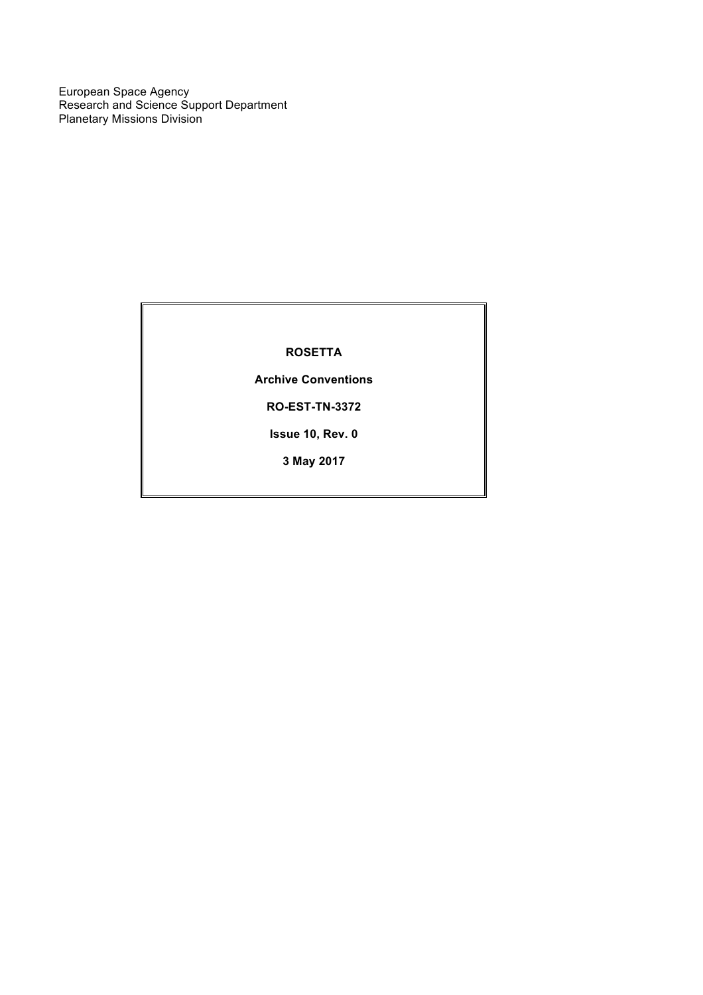European Space Agency Research and Science Support Department Planetary Missions Division

### **ROSETTA**

**Archive Conventions**

**RO-EST-TN-3372**

**Issue 10, Rev. 0**

**3 May 2017**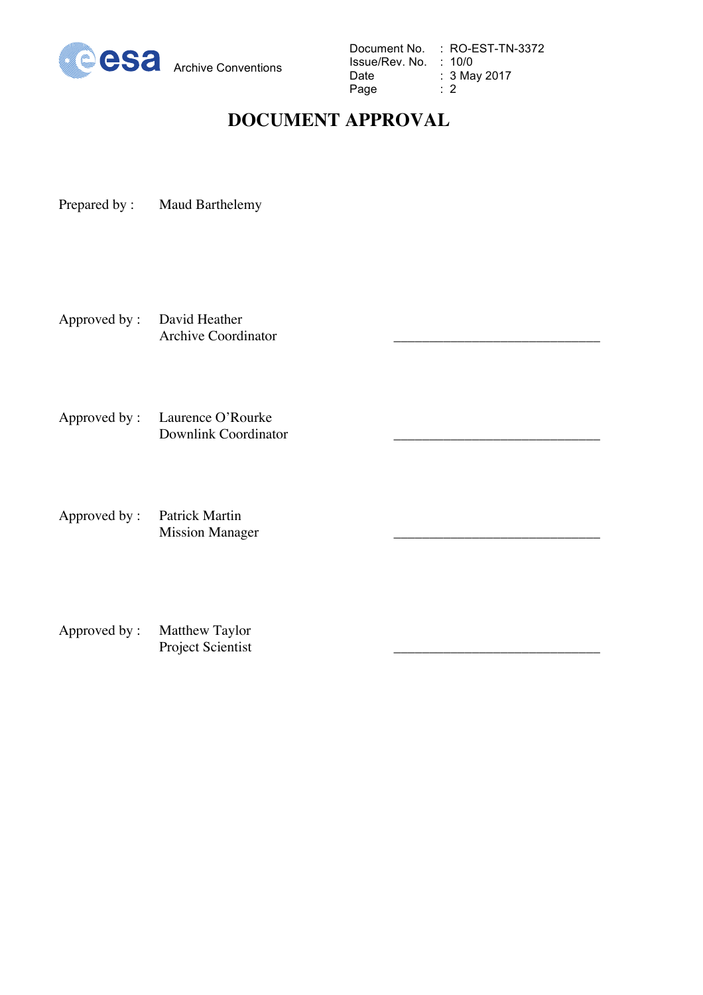

# **DOCUMENT APPROVAL**

Prepared by : Maud Barthelemy

- Approved by : David Heather Archive Coordinator
- Approved by : Laurence O'Rourke Downlink Coordinator
- Approved by : Patrick Martin Mission Manager
- Approved by : Matthew Taylor Project Scientist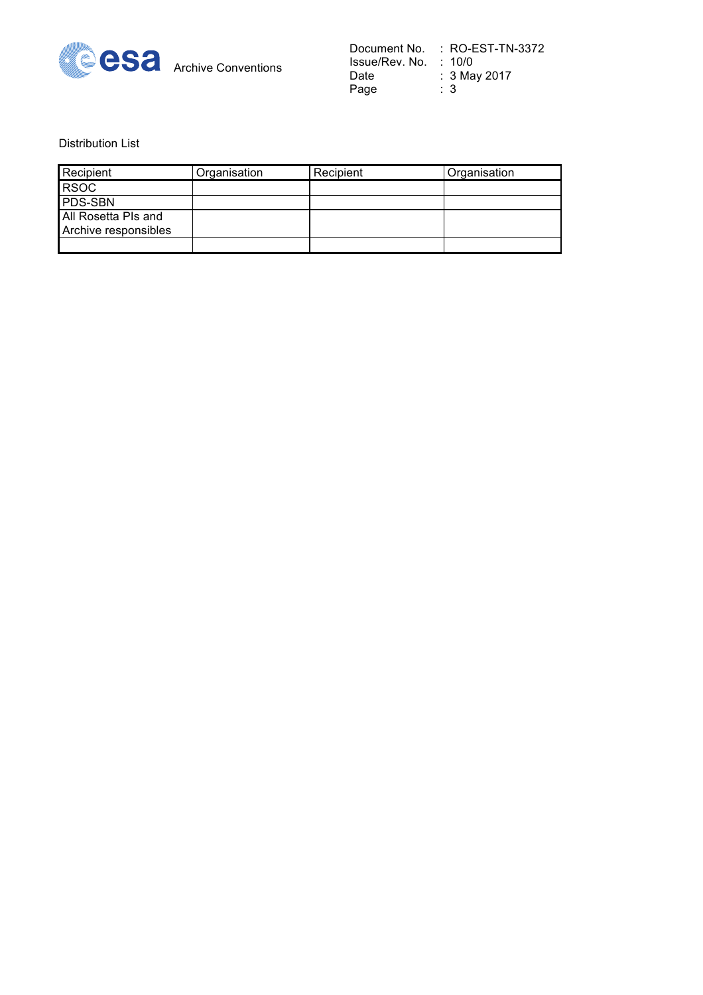

Distribution List

| Recipient                                   | Organisation | Recipient | Organisation |
|---------------------------------------------|--------------|-----------|--------------|
| <b>RSOC</b>                                 |              |           |              |
| <b>PDS-SBN</b>                              |              |           |              |
| All Rosetta PIs and<br>Archive responsibles |              |           |              |
|                                             |              |           |              |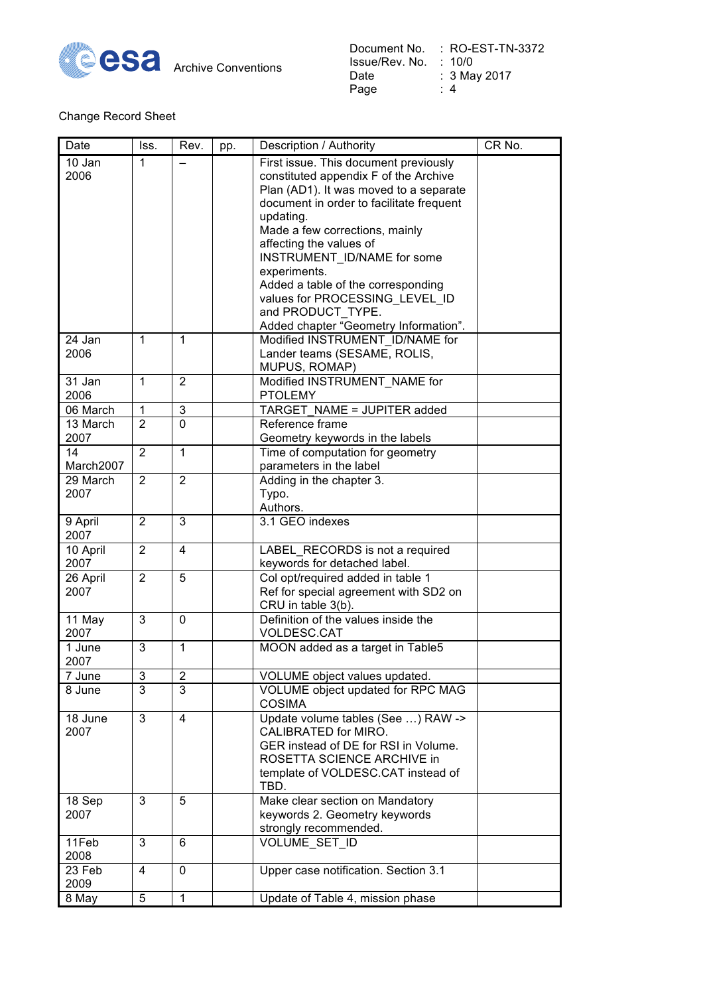

### Change Record Sheet

| Date                  | Iss.           | Rev.           | pp. | Description / Authority                                             | CR No. |
|-----------------------|----------------|----------------|-----|---------------------------------------------------------------------|--------|
| 10 Jan                | $\mathbf{1}$   |                |     | First issue. This document previously                               |        |
| 2006                  |                |                |     | constituted appendix F of the Archive                               |        |
|                       |                |                |     | Plan (AD1). It was moved to a separate                              |        |
|                       |                |                |     | document in order to facilitate frequent                            |        |
|                       |                |                |     | updating.                                                           |        |
|                       |                |                |     | Made a few corrections, mainly                                      |        |
|                       |                |                |     | affecting the values of                                             |        |
|                       |                |                |     | INSTRUMENT ID/NAME for some                                         |        |
|                       |                |                |     | experiments.                                                        |        |
|                       |                |                |     | Added a table of the corresponding                                  |        |
|                       |                |                |     | values for PROCESSING LEVEL ID                                      |        |
|                       |                |                |     | and PRODUCT TYPE.                                                   |        |
|                       |                |                |     | Added chapter "Geometry Information".                               |        |
| 24 Jan                | $\mathbf{1}$   | $\mathbf{1}$   |     | Modified INSTRUMENT ID/NAME for                                     |        |
| 2006                  |                |                |     | Lander teams (SESAME, ROLIS,                                        |        |
|                       |                |                |     | MUPUS, ROMAP)                                                       |        |
| 31 Jan<br>2006        | $\mathbf{1}$   | $\overline{2}$ |     | Modified INSTRUMENT NAME for<br><b>PTOLEMY</b>                      |        |
| 06 March              | $\mathbf{1}$   | 3              |     | TARGET NAME = JUPITER added                                         |        |
| 13 March              | $\overline{2}$ | 0              |     | Reference frame                                                     |        |
| 2007                  |                |                |     |                                                                     |        |
| 14                    | $\overline{2}$ | $\mathbf 1$    |     | Geometry keywords in the labels<br>Time of computation for geometry |        |
| March2007             |                |                |     | parameters in the label                                             |        |
| 29 March              | $\overline{2}$ | $\overline{2}$ |     | Adding in the chapter 3.                                            |        |
| 2007                  |                |                |     | Typo.                                                               |        |
|                       |                |                |     | Authors.                                                            |        |
| 9 April               | $\overline{2}$ | 3              |     | 3.1 GEO indexes                                                     |        |
| 2007                  |                |                |     |                                                                     |        |
| 10 April              | $\overline{2}$ | 4              |     | LABEL RECORDS is not a required                                     |        |
| 2007                  |                |                |     | keywords for detached label.                                        |        |
| $\overline{26}$ April | $\overline{2}$ | 5              |     | Col opt/required added in table 1                                   |        |
| 2007                  |                |                |     | Ref for special agreement with SD2 on                               |        |
|                       |                |                |     | CRU in table 3(b).                                                  |        |
| 11 May                | 3              | 0              |     | Definition of the values inside the                                 |        |
| 2007                  |                |                |     | VOLDESC.CAT                                                         |        |
| 1 June                | 3              | $\mathbf{1}$   |     | MOON added as a target in Table5                                    |        |
| 2007                  |                |                |     |                                                                     |        |
| 7 June                | 3              | $\overline{2}$ |     | VOLUME object values updated.                                       |        |
| 8 June                | $\overline{3}$ | 3              |     | VOLUME object updated for RPC MAG                                   |        |
|                       |                |                |     | <b>COSIMA</b>                                                       |        |
| 18 June               | 3              | 4              |     | Update volume tables (See ) RAW ->                                  |        |
| 2007                  |                |                |     | CALIBRATED for MIRO.                                                |        |
|                       |                |                |     | GER instead of DE for RSI in Volume.<br>ROSETTA SCIENCE ARCHIVE in  |        |
|                       |                |                |     |                                                                     |        |
|                       |                |                |     | template of VOLDESC.CAT instead of<br>TBD.                          |        |
| 18 Sep                | 3              | 5              |     | Make clear section on Mandatory                                     |        |
| 2007                  |                |                |     | keywords 2. Geometry keywords                                       |        |
|                       |                |                |     | strongly recommended.                                               |        |
| 11Feb                 | 3              | 6              |     | VOLUME SET ID                                                       |        |
| 2008                  |                |                |     |                                                                     |        |
| 23 Feb                | 4              | 0              |     | Upper case notification. Section 3.1                                |        |
| 2009                  |                |                |     |                                                                     |        |
| 8 May                 | 5              | $\mathbf{1}$   |     | Update of Table 4, mission phase                                    |        |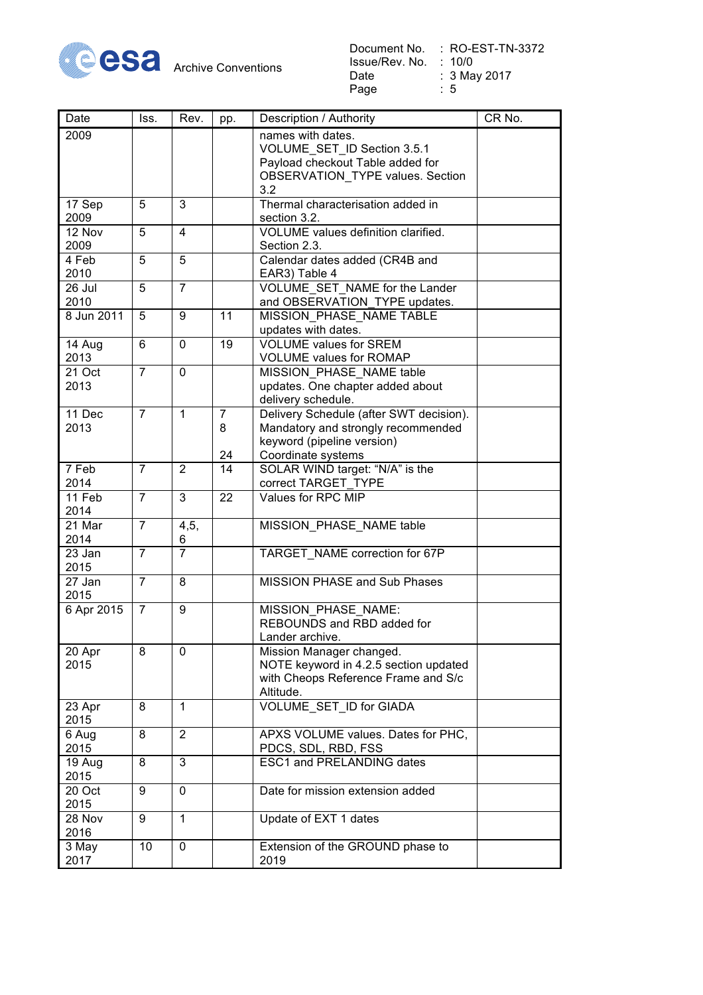

| Date                       | Iss.           | Rev.           | pp.            | Description / Authority                                                                                               | CR No. |
|----------------------------|----------------|----------------|----------------|-----------------------------------------------------------------------------------------------------------------------|--------|
| 2009                       |                |                |                | names with dates.<br>VOLUME_SET_ID Section 3.5.1<br>Payload checkout Table added for                                  |        |
|                            |                |                |                | OBSERVATION TYPE values. Section<br>3.2                                                                               |        |
| 17 Sep<br>2009             | 5              | 3              |                | Thermal characterisation added in<br>section 3.2.                                                                     |        |
| 12 Nov<br>2009             | 5              | $\overline{4}$ |                | VOLUME values definition clarified.<br>Section 2.3.                                                                   |        |
| 4 Feb<br>2010              | 5              | 5              |                | Calendar dates added (CR4B and<br>EAR3) Table 4                                                                       |        |
| 26 Jul<br>2010             | $\overline{5}$ | $\overline{7}$ |                | VOLUME SET NAME for the Lander<br>and OBSERVATION_TYPE updates.                                                       |        |
| 8 Jun 2011                 | 5              | 9              | 11             | MISSION PHASE NAME TABLE<br>updates with dates.                                                                       |        |
| 14 Aug<br>2013             | 6              | $\Omega$       | 19             | <b>VOLUME values for SREM</b><br><b>VOLUME values for ROMAP</b>                                                       |        |
| 21 Oct<br>2013             | $\overline{7}$ | $\Omega$       |                | MISSION PHASE NAME table<br>updates. One chapter added about                                                          |        |
| 11 Dec                     | $\overline{7}$ | $\mathbf{1}$   | $\overline{7}$ | delivery schedule.<br>Delivery Schedule (after SWT decision).                                                         |        |
| 2013                       |                |                | 8              | Mandatory and strongly recommended<br>keyword (pipeline version)                                                      |        |
|                            |                |                | 24             | Coordinate systems                                                                                                    |        |
| 7 Feb<br>2014              | $\overline{7}$ | 2              | 14             | SOLAR WIND target: "N/A" is the<br>correct TARGET TYPE                                                                |        |
| 11 Feb<br>2014             | $\overline{7}$ | 3              | 22             | Values for RPC MIP                                                                                                    |        |
| 21 Mar<br>2014             | $\overline{7}$ | 4, 5,<br>6     |                | MISSION_PHASE_NAME table                                                                                              |        |
| 23 Jan<br>2015             | $\overline{7}$ | $\overline{7}$ |                | TARGET_NAME correction for 67P                                                                                        |        |
| 27 Jan<br>2015             | $\overline{7}$ | 8              |                | MISSION PHASE and Sub Phases                                                                                          |        |
| 6 Apr 2015                 | $\overline{7}$ | 9              |                | MISSION_PHASE_NAME:<br>REBOUNDS and RBD added for<br>Lander archive.                                                  |        |
| 20 Apr<br>2015             | 8              | 0              |                | Mission Manager changed.<br>NOTE keyword in 4.2.5 section updated<br>with Cheops Reference Frame and S/c<br>Altitude. |        |
| 23 Apr<br>2015             | 8              | $\mathbf{1}$   |                | <b>VOLUME SET ID for GIADA</b>                                                                                        |        |
| 6 Aug<br>2015              | 8              | 2              |                | APXS VOLUME values. Dates for PHC,<br>PDCS, SDL, RBD, FSS                                                             |        |
| 19 Aug<br>2015             | 8              | 3              |                | ESC1 and PRELANDING dates                                                                                             |        |
| 20 Oct<br>2015             | 9              | $\mathbf 0$    |                | Date for mission extension added                                                                                      |        |
| 28 Nov<br>2016             | 9              | $\mathbf{1}$   |                | Update of EXT 1 dates                                                                                                 |        |
| $\overline{3}$ May<br>2017 | 10             | $\mathbf{0}$   |                | Extension of the GROUND phase to<br>2019                                                                              |        |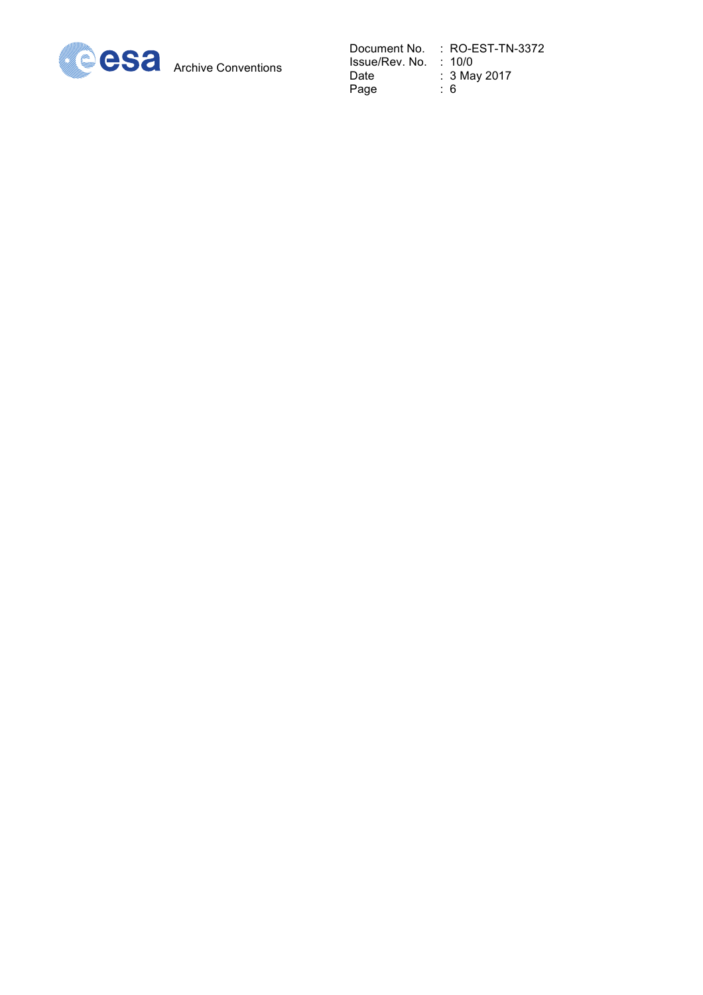

Document No. : RO-EST-TN-3372 Issue/Rev. No. Date Page : 10 / 0 : 3 May 201 7 : 6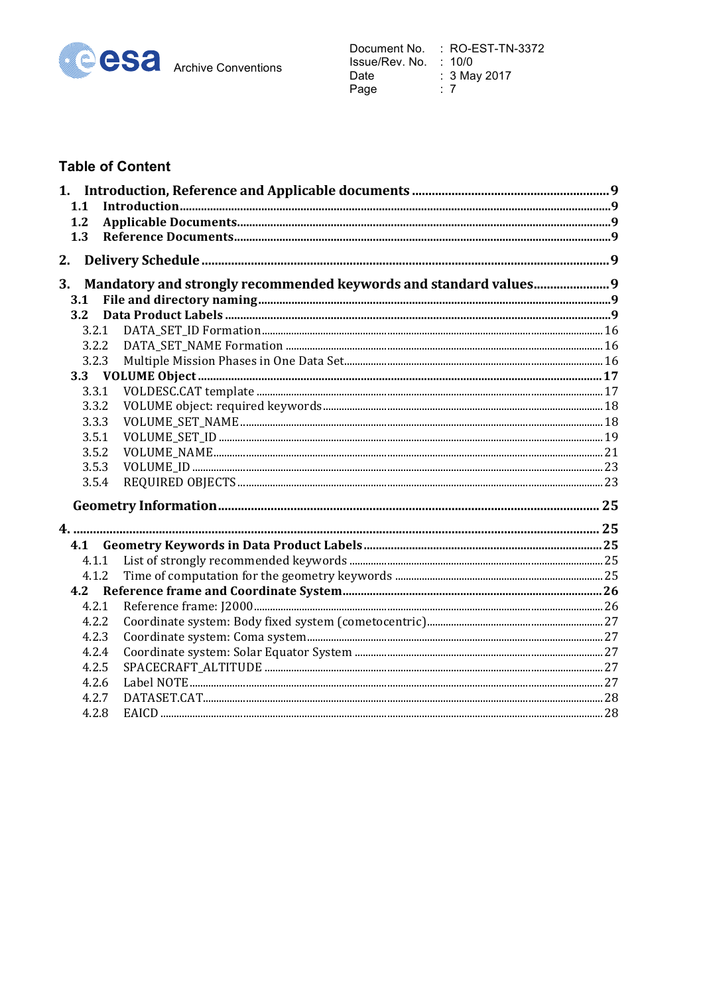

# **Table of Content**

| 1.1            |       |  |
|----------------|-------|--|
| 1.2            |       |  |
| 1.3            |       |  |
| 2.             |       |  |
| 3.             |       |  |
| 3.1            |       |  |
| 3.2            |       |  |
| 3.2.1          |       |  |
| 3.2.2          |       |  |
| 3.2.3          |       |  |
|                |       |  |
| 3.3.1          |       |  |
| 3.3.2          |       |  |
| 3.3.3          |       |  |
| 3.5.1          |       |  |
| 3.5.2          |       |  |
| 3.5.3<br>3.5.4 |       |  |
|                |       |  |
|                |       |  |
|                |       |  |
|                |       |  |
| 4.1.1          |       |  |
| 4.1.2          |       |  |
|                |       |  |
| 4.2.1          |       |  |
| 4.2.2          |       |  |
| 4.2.3          |       |  |
| 4.2.4          |       |  |
| 4.2.5          |       |  |
| 4.2.6          |       |  |
| 4.2.7          |       |  |
| 4.2.8          | EAICD |  |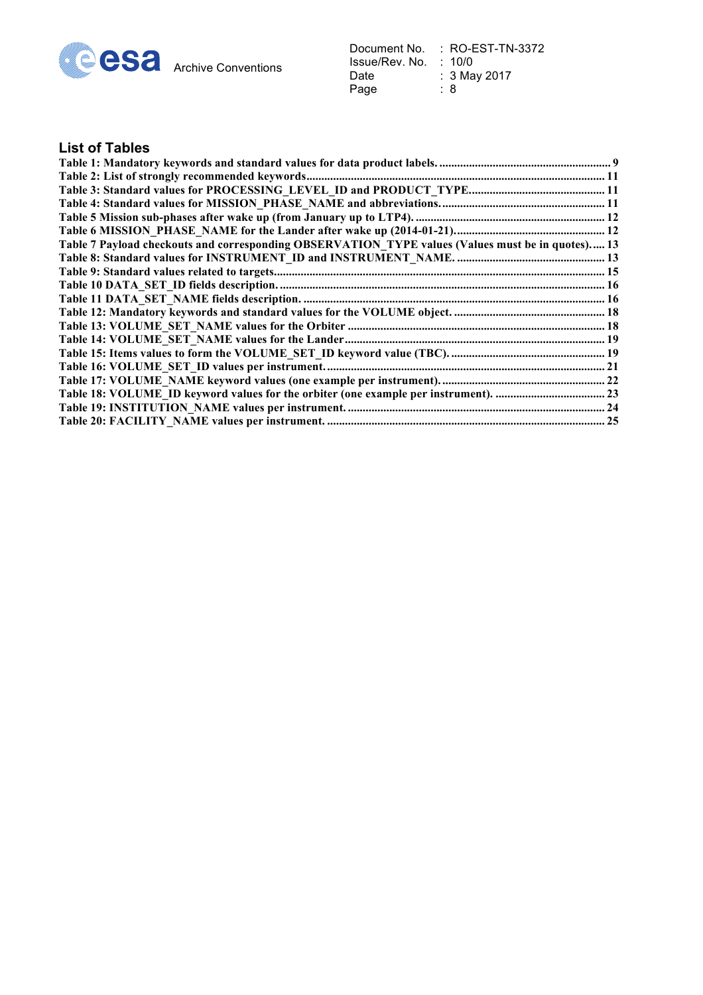

# **List of Tables**

| Table 7 Payload checkouts and corresponding OBSERVATION TYPE values (Values must be in quotes) 13 |  |
|---------------------------------------------------------------------------------------------------|--|
|                                                                                                   |  |
|                                                                                                   |  |
|                                                                                                   |  |
|                                                                                                   |  |
|                                                                                                   |  |
|                                                                                                   |  |
|                                                                                                   |  |
|                                                                                                   |  |
|                                                                                                   |  |
|                                                                                                   |  |
|                                                                                                   |  |
|                                                                                                   |  |
|                                                                                                   |  |
|                                                                                                   |  |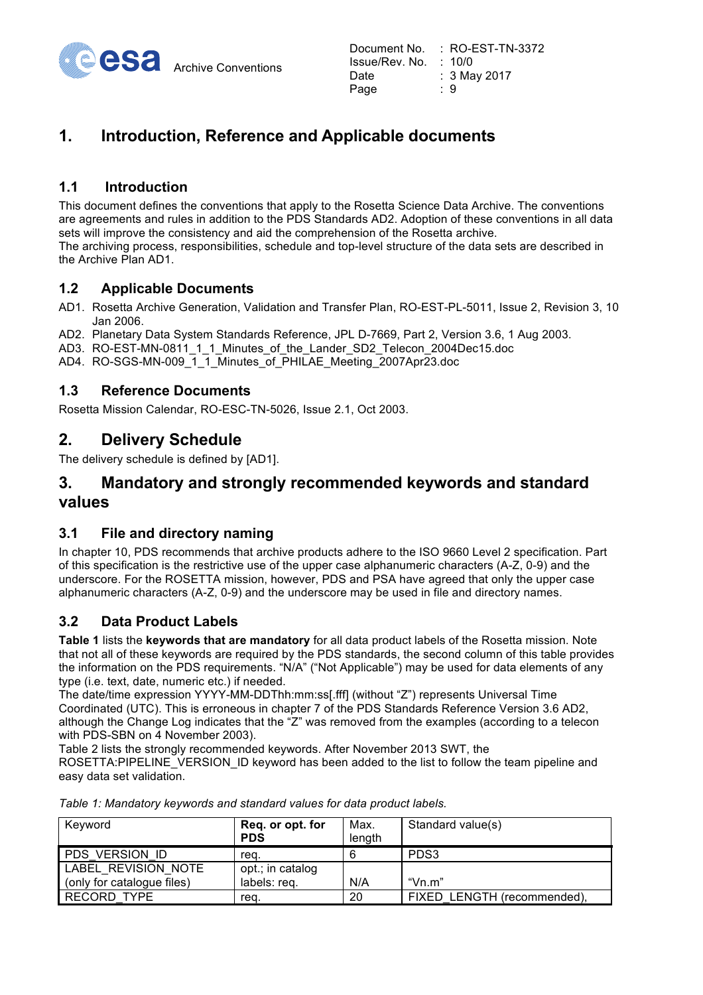

# **1. Introduction, Reference and Applicable documents**

### **1.1 Introduction**

This document defines the conventions that apply to the Rosetta Science Data Archive. The conventions are agreements and rules in addition to the PDS Standards AD2. Adoption of these conventions in all data sets will improve the consistency and aid the comprehension of the Rosetta archive.

The archiving process, responsibilities, schedule and top-level structure of the data sets are described in the Archive Plan AD1.

### **1.2 Applicable Documents**

AD1. Rosetta Archive Generation, Validation and Transfer Plan, RO-EST-PL-5011, Issue 2, Revision 3, 10 Jan 2006.

AD2. Planetary Data System Standards Reference, JPL D-7669, Part 2, Version 3.6, 1 Aug 2003.

AD3. RO-EST-MN-0811\_1\_1\_Minutes\_of\_the\_Lander\_SD2\_Telecon\_2004Dec15.doc

AD4. RO-SGS-MN-009\_1\_1\_Minutes\_of\_PHILAE\_Meeting\_2007Apr23.doc

### **1.3 Reference Documents**

Rosetta Mission Calendar, RO-ESC-TN-5026, Issue 2.1, Oct 2003.

# **2. Delivery Schedule**

The delivery schedule is defined by [AD1].

### **3. Mandatory and strongly recommended keywords and standard values**

# **3.1 File and directory naming**

In chapter 10, PDS recommends that archive products adhere to the ISO 9660 Level 2 specification. Part of this specification is the restrictive use of the upper case alphanumeric characters (A-Z, 0-9) and the underscore. For the ROSETTA mission, however, PDS and PSA have agreed that only the upper case alphanumeric characters (A-Z, 0-9) and the underscore may be used in file and directory names.

### **3.2 Data Product Labels**

**Table 1** lists the **keywords that are mandatory** for all data product labels of the Rosetta mission. Note that not all of these keywords are required by the PDS standards, the second column of this table provides the information on the PDS requirements. "N/A" ("Not Applicable") may be used for data elements of any type (i.e. text, date, numeric etc.) if needed.

The date/time expression YYYY-MM-DDThh:mm:ss[.fff] (without "Z") represents Universal Time Coordinated (UTC). This is erroneous in chapter 7 of the PDS Standards Reference Version 3.6 AD2, although the Change Log indicates that the "Z" was removed from the examples (according to a telecon with PDS-SBN on 4 November 2003).

Table 2 lists the strongly recommended keywords. After November 2013 SWT, the ROSETTA:PIPELINE\_VERSION\_ID keyword has been added to the list to follow the team pipeline and easy data set validation.

| Keyword                    | Req. or opt. for<br><b>PDS</b> | Max.<br>length | Standard value(s)           |
|----------------------------|--------------------------------|----------------|-----------------------------|
| PDS VERSION ID             | rea.                           |                | PDS3                        |
| LABEL REVISION NOTE        | opt.; in catalog               |                |                             |
| (only for catalogue files) | labels: req.                   | N/A            | "Vn.m"                      |
| RECORD TYPE                | reg.                           | 20             | FIXED LENGTH (recommended), |

*Table 1: Mandatory keywords and standard values for data product labels.*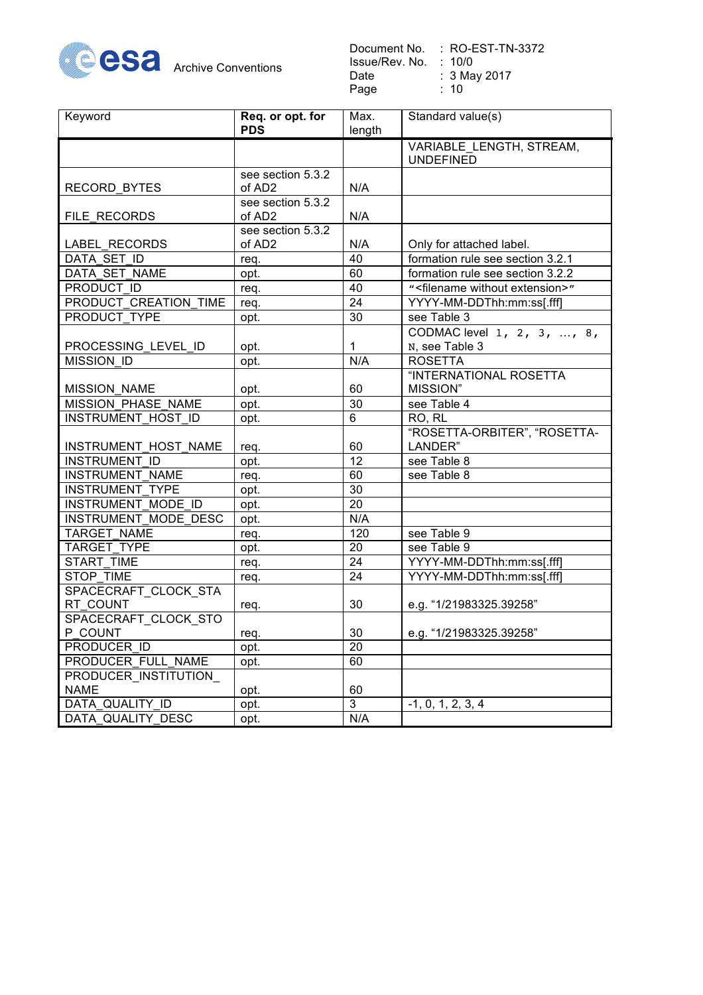

| Keyword                | Req. or opt. for<br><b>PDS</b> | Max.<br>length | Standard value(s)                                |
|------------------------|--------------------------------|----------------|--------------------------------------------------|
|                        |                                |                | VARIABLE_LENGTH, STREAM,<br><b>UNDEFINED</b>     |
| <b>RECORD BYTES</b>    | see section 5.3.2<br>of AD2    | N/A            |                                                  |
| FILE RECORDS           | see section 5.3.2<br>of AD2    | N/A            |                                                  |
| LABEL RECORDS          | see section 5.3.2<br>of AD2    | N/A            | Only for attached label.                         |
| DATA SET ID            | req.                           | 40             | formation rule see section 3.2.1                 |
| DATA SET NAME          | opt.                           | 60             | formation rule see section 3.2.2                 |
| PRODUCT ID             | req.                           | 40             | " <filename extension="" without="">"</filename> |
| PRODUCT CREATION TIME  | req.                           | 24             | YYYY-MM-DDThh:mm:ss[.fff]                        |
| PRODUCT TYPE           | opt.                           | 30             | see Table 3                                      |
|                        |                                |                | CODMAC level $1, 2, 3, , 8,$                     |
| PROCESSING LEVEL ID    | opt.                           | 1              | N, see Table 3                                   |
| <b>MISSION ID</b>      | opt.                           | N/A            | <b>ROSETTA</b>                                   |
| <b>MISSION NAME</b>    | opt.                           | 60             | "INTERNATIONAL ROSETTA<br><b>MISSION"</b>        |
| MISSION PHASE NAME     | opt.                           | 30             | see Table 4                                      |
| INSTRUMENT HOST ID     | opt.                           | $6\phantom{1}$ | RO, RL                                           |
| INSTRUMENT HOST NAME   | req.                           | 60             | "ROSETTA-ORBITER", "ROSETTA-<br>LANDER"          |
| <b>INSTRUMENT ID</b>   | opt.                           | 12             | see Table 8                                      |
| <b>INSTRUMENT NAME</b> | req.                           | 60             | see Table 8                                      |
| <b>INSTRUMENT TYPE</b> | opt.                           | 30             |                                                  |
| INSTRUMENT MODE ID     | opt.                           | 20             |                                                  |
| INSTRUMENT MODE DESC   | opt.                           | N/A            |                                                  |
| <b>TARGET NAME</b>     | req.                           | 120            | see Table 9                                      |
| TARGET TYPE            | opt.                           | 20             | see Table 9                                      |
| START TIME             | req.                           | 24             | YYYY-MM-DDThh:mm:ss[.fff]                        |
| <b>STOP TIME</b>       | req.                           | 24             | YYYY-MM-DDThh:mm:ss[.fff]                        |
| SPACECRAFT_CLOCK_STA   |                                |                |                                                  |
| RT COUNT               | req.                           | 30             | e.g. "1/21983325.39258"                          |
| SPACECRAFT_CLOCK_STO   |                                |                |                                                  |
| P COUNT                | req.                           | 30             | e.g. "1/21983325.39258"                          |
| PRODUCER ID            | opt.                           | 20             |                                                  |
| PRODUCER FULL NAME     | opt.                           | 60             |                                                  |
| PRODUCER INSTITUTION   |                                |                |                                                  |
| <b>NAME</b>            | opt.                           | 60             |                                                  |
| DATA QUALITY ID        | opt.                           | $\overline{3}$ | $-1, 0, 1, 2, 3, 4$                              |
| DATA QUALITY DESC      | opt.                           | N/A            |                                                  |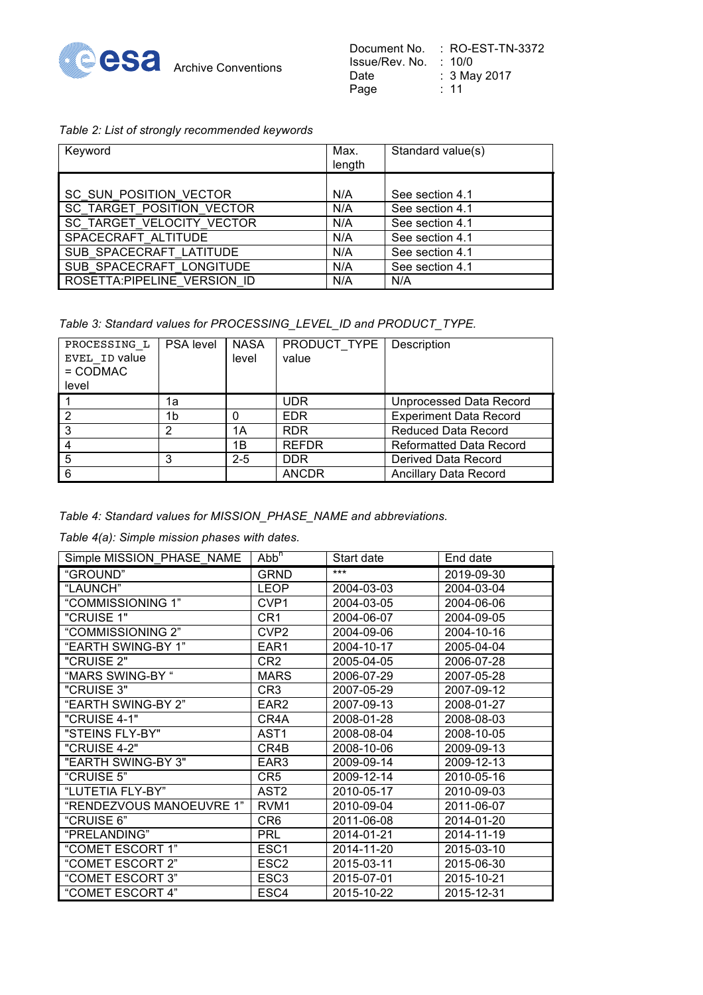

| Document No.   | $: RO-EST-TN-3372$ |
|----------------|--------------------|
| Issue/Rev. No. | : $10/0$           |
| Date           | : 3 May 2017       |
| Page           | : 11               |

#### *Table 2: List of strongly recommended keywords*

| Keyword                      | Max.<br>length | Standard value(s) |
|------------------------------|----------------|-------------------|
|                              |                |                   |
| SC SUN POSITION VECTOR       | N/A            | See section 4.1   |
| SC TARGET POSITION VECTOR    | N/A            | See section 4.1   |
| SC TARGET VELOCITY VECTOR    | N/A            | See section 4.1   |
| SPACECRAFT ALTITUDE          | N/A            | See section 4.1   |
| SUB SPACECRAFT LATITUDE      | N/A            | See section 4.1   |
| SUB SPACECRAFT LONGITUDE     | N/A            | See section 4.1   |
| ROSETTA: PIPELINE VERSION ID | N/A            | N/A               |

*Table 3: Standard values for PROCESSING\_LEVEL\_ID and PRODUCT\_TYPE.*

| PROCESSING L<br>EVEL ID value<br>$=$ CODMAC<br>level | <b>PSA</b> level | <b>NASA</b><br>level | PRODUCT TYPE<br>value | Description                    |
|------------------------------------------------------|------------------|----------------------|-----------------------|--------------------------------|
|                                                      | 1a               |                      | <b>UDR</b>            | Unprocessed Data Record        |
| 2                                                    | 1b               |                      | <b>EDR</b>            | <b>Experiment Data Record</b>  |
| 3                                                    | າ                | 1А                   | <b>RDR</b>            | <b>Reduced Data Record</b>     |
|                                                      |                  | 1Β                   | <b>REFDR</b>          | <b>Reformatted Data Record</b> |
| 5                                                    | 3                | $2 - 5$              | <b>DDR</b>            | Derived Data Record            |
| 6                                                    |                  |                      | <b>ANCDR</b>          | <b>Ancillary Data Record</b>   |

*Table 4: Standard values for MISSION\_PHASE\_NAME and abbreviations.*

*Table 4(a): Simple mission phases with dates.*

| Simple MISSION_PHASE_NAME | Abb <sup>n</sup> | Start date | End date   |
|---------------------------|------------------|------------|------------|
| "GROUND"                  | <b>GRND</b>      | ***        | 2019-09-30 |
| "LAUNCH"                  | <b>LEOP</b>      | 2004-03-03 | 2004-03-04 |
| "COMMISSIONING 1"         | CVP <sub>1</sub> | 2004-03-05 | 2004-06-06 |
| "CRUISE 1"                | CR1              | 2004-06-07 | 2004-09-05 |
| "COMMISSIONING 2"         | CVP <sub>2</sub> | 2004-09-06 | 2004-10-16 |
| "EARTH SWING-BY 1"        | EAR1             | 2004-10-17 | 2005-04-04 |
| "CRUISE 2"                | CR <sub>2</sub>  | 2005-04-05 | 2006-07-28 |
| "MARS SWING-BY "          | <b>MARS</b>      | 2006-07-29 | 2007-05-28 |
| "CRUISE 3"                | CR <sub>3</sub>  | 2007-05-29 | 2007-09-12 |
| "EARTH SWING-BY 2"        | EAR <sub>2</sub> | 2007-09-13 | 2008-01-27 |
| "CRUISE 4-1"              | CR4A             | 2008-01-28 | 2008-08-03 |
| "STEINS FLY-BY"           | AST <sub>1</sub> | 2008-08-04 | 2008-10-05 |
| "CRUISE 4-2"              | CR4B             | 2008-10-06 | 2009-09-13 |
| "EARTH SWING-BY 3"        | EAR3             | 2009-09-14 | 2009-12-13 |
| "CRUISE 5"                | CR5              | 2009-12-14 | 2010-05-16 |
| "LUTETIA FLY-BY"          | AST <sub>2</sub> | 2010-05-17 | 2010-09-03 |
| "RENDEZVOUS MANOEUVRE 1"  | RVM <sub>1</sub> | 2010-09-04 | 2011-06-07 |
| "CRUISE 6"                | CR <sub>6</sub>  | 2011-06-08 | 2014-01-20 |
| "PRELANDING"              | <b>PRL</b>       | 2014-01-21 | 2014-11-19 |
| "COMET ESCORT 1"          | ESC <sub>1</sub> | 2014-11-20 | 2015-03-10 |
| "COMET ESCORT 2"          | ESC <sub>2</sub> | 2015-03-11 | 2015-06-30 |
| "COMET ESCORT 3"          | ESC <sub>3</sub> | 2015-07-01 | 2015-10-21 |
| "COMET ESCORT 4"          | ESC <sub>4</sub> | 2015-10-22 | 2015-12-31 |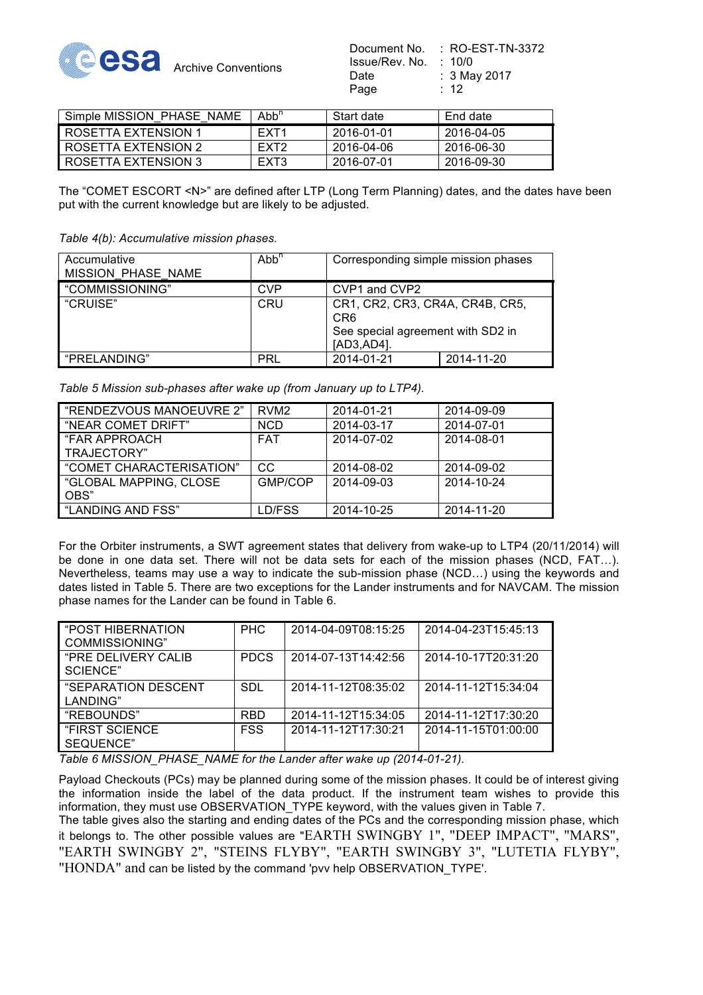

Archive Conventions

Document No. : RO-EST-TN-3372 Issue/Rev. No. : 10/0 Date Page : 3 May 2017 : 12

| Simple MISSION PHASE NAME | Abb"             | Start date | End date   |
|---------------------------|------------------|------------|------------|
| I ROSETTA EXTENSION 1     | FXT1             | 2016-01-01 | 2016-04-05 |
| I ROSETTA EXTENSION 2     | FXT <sub>2</sub> | 2016-04-06 | 2016-06-30 |
| I ROSETTA EXTENSION 3     | EXT3             | 2016-07-01 | 2016-09-30 |

The "COMET ESCORT <N>" are defined after LTP (Long Term Planning) dates, and the dates have been put with the current knowledge but are likely to be adjusted.

*Table 4(b): Accumulative mission phases.*

| Accumulative<br>MISSION PHASE NAME | Abb <sup>n</sup> | Corresponding simple mission phases                                                                   |            |
|------------------------------------|------------------|-------------------------------------------------------------------------------------------------------|------------|
| "COMMISSIONING"                    | <b>CVP</b>       | CVP1 and CVP2                                                                                         |            |
| "CRUISE"                           | CRU              | CR1, CR2, CR3, CR4A, CR4B, CR5,<br>CR <sub>6</sub><br>See special agreement with SD2 in<br>[AD3,AD4]. |            |
| "PRELANDING"                       | PRI              | 2014-01-21                                                                                            | 2014-11-20 |

*Table 5 Mission sub-phases after wake up (from January up to LTP4).*

| "RENDEZVOUS MANOEUVRE 2"                   | RVM <sub>2</sub> | 2014-01-21 | 2014-09-09 |
|--------------------------------------------|------------------|------------|------------|
| "NEAR COMET DRIFT"                         | <b>NCD</b>       | 2014-03-17 | 2014-07-01 |
| <b><i>"FAR APPROACH</i></b><br>TRAJECTORY" | <b>FAT</b>       | 2014-07-02 | 2014-08-01 |
| "COMET CHARACTERISATION"                   | CC.              | 2014-08-02 | 2014-09-02 |
| "GLOBAL MAPPING, CLOSE<br>OBS"             | GMP/COP          | 2014-09-03 | 2014-10-24 |
| "LANDING AND FSS"                          | LD/FSS           | 2014-10-25 | 2014-11-20 |

For the Orbiter instruments, a SWT agreement states that delivery from wake-up to LTP4 (20/11/2014) will be done in one data set. There will not be data sets for each of the mission phases (NCD, FAT…). Nevertheless, teams may use a way to indicate the sub-mission phase (NCD…) using the keywords and dates listed in Table 5. There are two exceptions for the Lander instruments and for NAVCAM. The mission phase names for the Lander can be found in Table 6.

| <b>"POST HIBERNATION</b><br>COMMISSIONING" | <b>PHC</b>  | 2014-04-09T08:15:25 | 2014-04-23T15:45:13 |
|--------------------------------------------|-------------|---------------------|---------------------|
| <b>"PRE DELIVERY CALIB</b><br>SCIENCE"     | <b>PDCS</b> | 2014-07-13T14:42:56 | 2014-10-17T20:31:20 |
| "SEPARATION DESCENT<br>LANDING"            | <b>SDL</b>  | 2014-11-12T08:35:02 | 2014-11-12T15:34:04 |
| "REBOUNDS"                                 | <b>RBD</b>  | 2014-11-12T15:34:05 | 2014-11-12T17:30:20 |
| <b>"FIRST SCIENCE</b><br>SEQUENCE"         | <b>FSS</b>  | 2014-11-12T17:30:21 | 2014-11-15T01:00:00 |

*Table 6 MISSION\_PHASE\_NAME for the Lander after wake up (2014-01-21).*

Payload Checkouts (PCs) may be planned during some of the mission phases. It could be of interest giving the information inside the label of the data product. If the instrument team wishes to provide this information, they must use OBSERVATION\_TYPE keyword, with the values given in Table 7.

The table gives also the starting and ending dates of the PCs and the corresponding mission phase, which it belongs to. The other possible values are "EARTH SWINGBY 1", "DEEP IMPACT", "MARS", "EARTH SWINGBY 2", "STEINS FLYBY", "EARTH SWINGBY 3", "LUTETIA FLYBY", "HONDA" and can be listed by the command 'pvv help OBSERVATION\_TYPE'.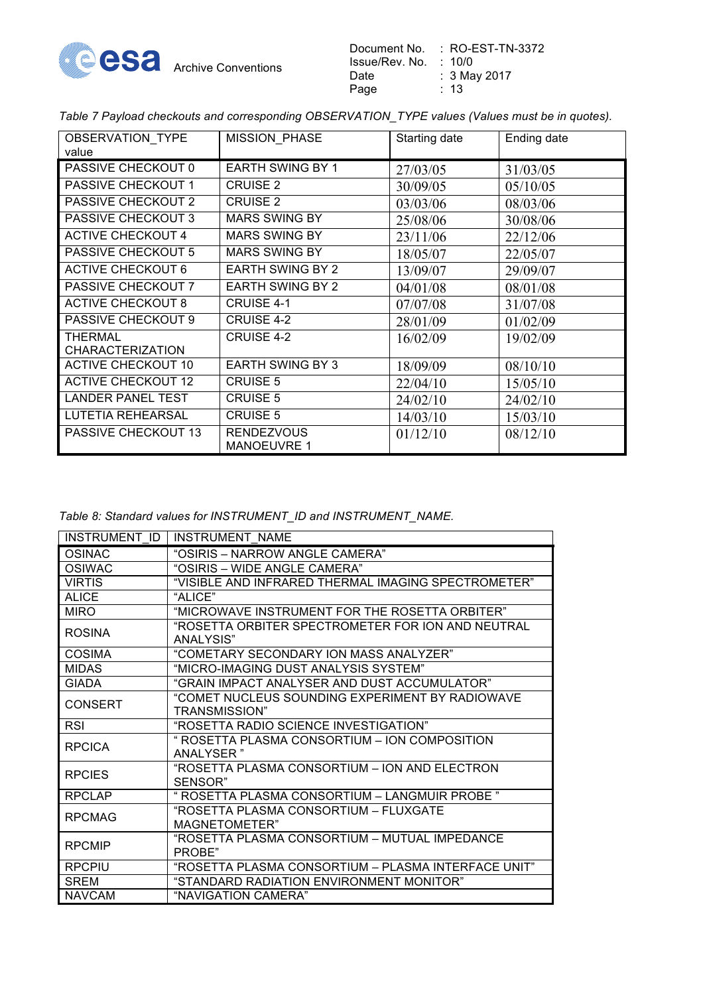

| Document No.   | $: RO-EST-TN-3372$ |
|----------------|--------------------|
| Issue/Rev. No. | : $10/0$           |
| Date           | $: 3$ May 2017     |
| Page           | : 13               |

| Table 7 Payload checkouts and corresponding OBSERVATION_TYPE values (Values must be in quotes). |  |  |  |  |
|-------------------------------------------------------------------------------------------------|--|--|--|--|
|-------------------------------------------------------------------------------------------------|--|--|--|--|

| <b>OBSERVATION TYPE</b><br>value          | <b>MISSION PHASE</b>                    | Starting date | Ending date |
|-------------------------------------------|-----------------------------------------|---------------|-------------|
| PASSIVE CHECKOUT 0                        | <b>EARTH SWING BY 1</b>                 | 27/03/05      | 31/03/05    |
| PASSIVE CHECKOUT 1                        | <b>CRUISE 2</b>                         | 30/09/05      | 05/10/05    |
| <b>PASSIVE CHECKOUT 2</b>                 | <b>CRUISE 2</b>                         | 03/03/06      | 08/03/06    |
| <b>PASSIVE CHECKOUT 3</b>                 | <b>MARS SWING BY</b>                    | 25/08/06      | 30/08/06    |
| <b>ACTIVE CHECKOUT 4</b>                  | <b>MARS SWING BY</b>                    | 23/11/06      | 22/12/06    |
| <b>PASSIVE CHECKOUT 5</b>                 | <b>MARS SWING BY</b>                    | 18/05/07      | 22/05/07    |
| <b>ACTIVE CHECKOUT 6</b>                  | <b>EARTH SWING BY 2</b>                 | 13/09/07      | 29/09/07    |
| <b>PASSIVE CHECKOUT 7</b>                 | <b>EARTH SWING BY 2</b>                 | 04/01/08      | 08/01/08    |
| <b>ACTIVE CHECKOUT 8</b>                  | <b>CRUISE 4-1</b>                       | 07/07/08      | 31/07/08    |
| <b>PASSIVE CHECKOUT 9</b>                 | <b>CRUISE 4-2</b>                       | 28/01/09      | 01/02/09    |
| <b>THERMAL</b><br><b>CHARACTERIZATION</b> | <b>CRUISE 4-2</b>                       | 16/02/09      | 19/02/09    |
| <b>ACTIVE CHECKOUT 10</b>                 | <b>EARTH SWING BY 3</b>                 | 18/09/09      | 08/10/10    |
| <b>ACTIVE CHECKOUT 12</b>                 | <b>CRUISE 5</b>                         | 22/04/10      | 15/05/10    |
| <b>LANDER PANEL TEST</b>                  | <b>CRUISE 5</b>                         | 24/02/10      | 24/02/10    |
| <b>LUTETIA REHEARSAL</b>                  | <b>CRUISE 5</b>                         | 14/03/10      | 15/03/10    |
| PASSIVE CHECKOUT 13                       | <b>RENDEZVOUS</b><br><b>MANOEUVRE 1</b> | 01/12/10      | 08/12/10    |

*Table 8: Standard values for INSTRUMENT\_ID and INSTRUMENT\_NAME.*

| INSTRUMENT ID  | <b>INSTRUMENT NAME</b>                              |
|----------------|-----------------------------------------------------|
| <b>OSINAC</b>  | "OSIRIS – NARROW ANGLE CAMERA"                      |
| <b>OSIWAC</b>  | "OSIRIS – WIDE ANGLE CAMERA"                        |
| <b>VIRTIS</b>  | "VISIBLE AND INFRARED THERMAL IMAGING SPECTROMETER" |
| <b>ALICE</b>   | "ALICE"                                             |
| <b>MIRO</b>    | "MICROWAVE INSTRUMENT FOR THE ROSETTA ORBITER"      |
| <b>ROSINA</b>  | "ROSETTA ORBITER SPECTROMETER FOR ION AND NEUTRAL   |
|                | ANALYSIS"                                           |
| <b>COSIMA</b>  | "COMETARY SECONDARY ION MASS ANALYZER"              |
| <b>MIDAS</b>   | "MICRO-IMAGING DUST ANALYSIS SYSTEM"                |
| <b>GIADA</b>   | "GRAIN IMPACT ANALYSER AND DUST ACCUMULATOR"        |
| <b>CONSERT</b> | "COMET NUCLEUS SOUNDING EXPERIMENT BY RADIOWAVE     |
|                | TRANSMISSION"                                       |
| <b>RSI</b>     | "ROSETTA RADIO SCIENCE INVESTIGATION"               |
| <b>RPCICA</b>  | " ROSETTA PLASMA CONSORTIUM – ION COMPOSITION       |
|                | ANALYSER"                                           |
| <b>RPCIES</b>  | "ROSETTA PLASMA CONSORTIUM - ION AND ELECTRON       |
|                | SENSOR"                                             |
| <b>RPCLAP</b>  | " ROSETTA PLASMA CONSORTIUM - LANGMUIR PROBE "      |
| <b>RPCMAG</b>  | "ROSETTA PLASMA CONSORTIUM – FLUXGATE               |
|                | MAGNETOMETER"                                       |
| <b>RPCMIP</b>  | "ROSETTA PLASMA CONSORTIUM - MUTUAL IMPEDANCE       |
|                | PROBE"                                              |
| <b>RPCPIU</b>  | "ROSETTA PLASMA CONSORTIUM - PLASMA INTERFACE UNIT" |
| <b>SREM</b>    | "STANDARD RADIATION ENVIRONMENT MONITOR"            |
| <b>NAVCAM</b>  | "NAVIGATION CAMERA"                                 |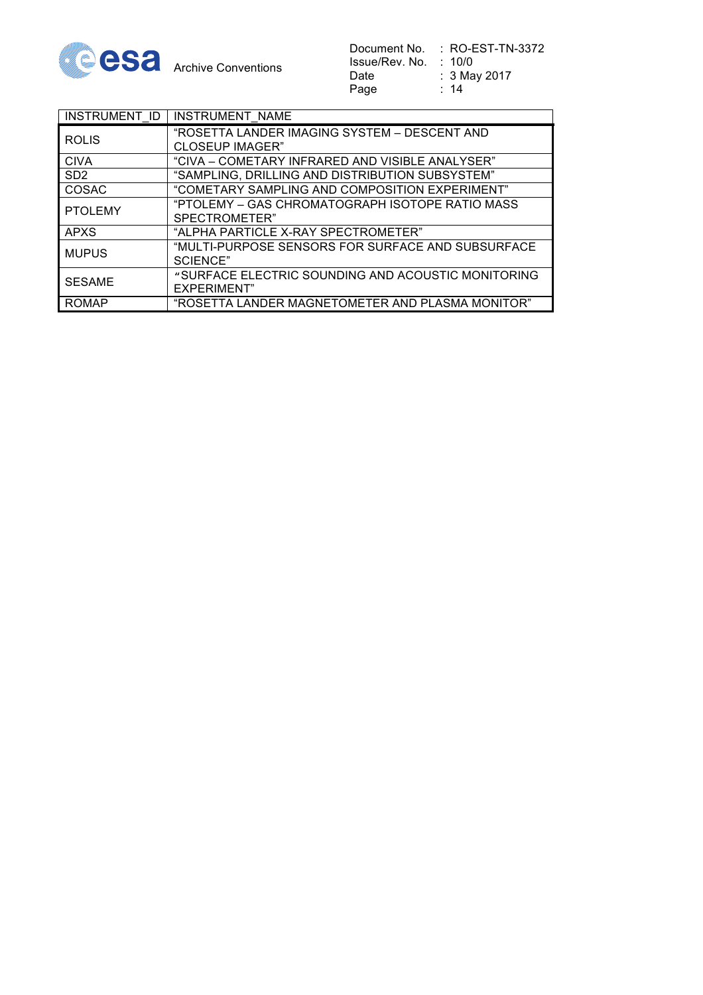

| Document No.   | $: RO-EST-TN-3372$ |
|----------------|--------------------|
| Issue/Rev. No. | : 10/0             |
| Date           | $: 3$ May 2017     |
| Page           | : 14               |

| <b>INSTRUMENT ID</b> | <b>INSTRUMENT NAME</b>                                            |
|----------------------|-------------------------------------------------------------------|
| <b>ROLIS</b>         | "ROSETTA LANDER IMAGING SYSTEM - DESCENT AND<br>CLOSEUP IMAGER"   |
| <b>CIVA</b>          | "CIVA – COMETARY INFRARED AND VISIBLE ANALYSER"                   |
| SD <sub>2</sub>      | "SAMPLING, DRILLING AND DISTRIBUTION SUBSYSTEM"                   |
| COSAC                | "COMETARY SAMPLING AND COMPOSITION EXPERIMENT"                    |
| <b>PTOLEMY</b>       | "PTOLEMY – GAS CHROMATOGRAPH ISOTOPE RATIO MASS<br>SPECTROMETER"  |
| <b>APXS</b>          | "ALPHA PARTICLE X-RAY SPECTROMETER"                               |
| <b>MUPUS</b>         | "MULTI-PURPOSE SENSORS FOR SURFACE AND SUBSURFACE<br>SCIENCE"     |
| <b>SESAME</b>        | "SURFACE ELECTRIC SOUNDING AND ACOUSTIC MONITORING<br>EXPERIMENT" |
| <b>ROMAP</b>         | "ROSETTA LANDER MAGNETOMETER AND PLASMA MONITOR"                  |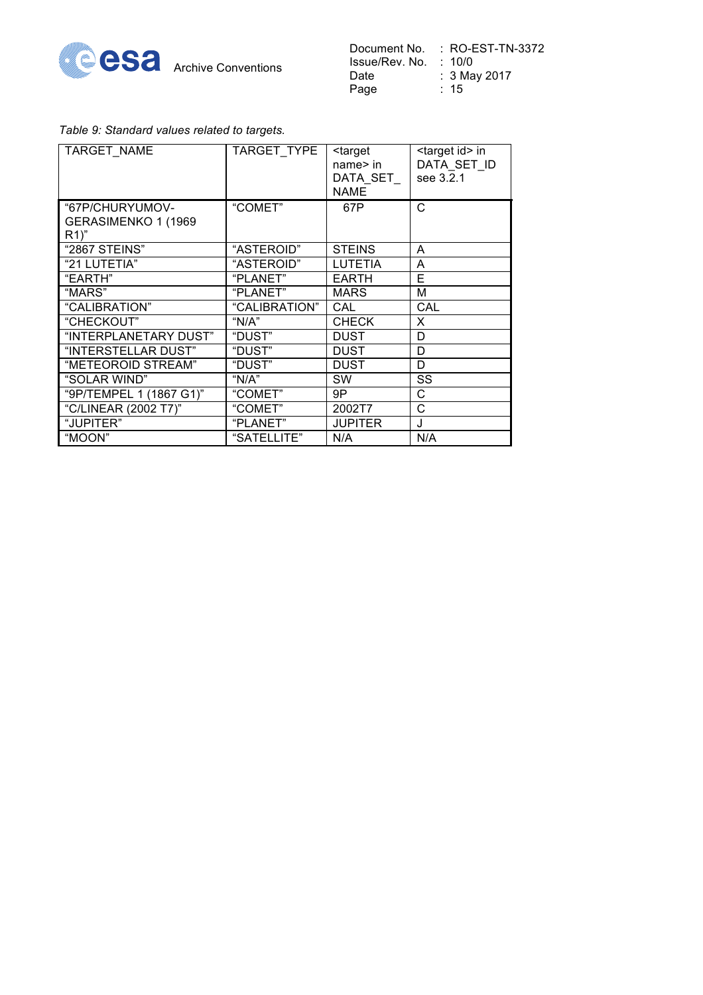

| Document No.   | $:$ RO-EST-TN-3372 |
|----------------|--------------------|
| Issue/Rev. No. | : $10/0$           |
| Date           | $: 3$ May 2017     |
| Page           | : 15               |

#### *Table 9: Standard values related to targets.*

| <b>TARGET NAME</b>                            | TARGET TYPE   | <target<br>name&gt;in<br/>DATA SET<br/><b>NAME</b></target<br> | <target id=""> in<br/>DATA SET ID<br/>see 3.2.1</target> |
|-----------------------------------------------|---------------|----------------------------------------------------------------|----------------------------------------------------------|
| "67P/CHURYUMOV-<br>GERASIMENKO 1 (1969<br>R1" | "COMET"       | 67P                                                            | C                                                        |
| "2867 STEINS"                                 | "ASTEROID"    | <b>STEINS</b>                                                  | A                                                        |
| "21 LUTETIA"                                  | "ASTEROID"    | LUTETIA                                                        | A                                                        |
| "EARTH"                                       | "PLANET"      | <b>EARTH</b>                                                   | Е                                                        |
| "MARS"                                        | "PLANET"      | <b>MARS</b>                                                    | М                                                        |
| "CALIBRATION"                                 | "CALIBRATION" | CAL                                                            | CAL                                                      |
| "CHECKOUT"                                    | " $N/A$ "     | <b>CHECK</b>                                                   | X                                                        |
| "INTERPLANETARY DUST"                         | "DUST"        | <b>DUST</b>                                                    | D                                                        |
| "INTERSTELLAR DUST"                           | "DUST"        | DUST                                                           | D                                                        |
| "METEOROID STREAM"                            | "DUST"        | DUST                                                           | D                                                        |
| "SOLAR WIND"                                  | "N/A"         | <b>SW</b>                                                      | SS                                                       |
| "9P/TEMPEL 1 (1867 G1)"                       | "COMET"       | 9P                                                             | C                                                        |
| "C/LINEAR (2002 T7)"                          | "COMET"       | 2002T7                                                         | С                                                        |
| "JUPITER"                                     | "PLANET"      | <b>JUPITER</b>                                                 | J                                                        |
| "MOON"                                        | "SATELLITE"   | N/A                                                            | N/A                                                      |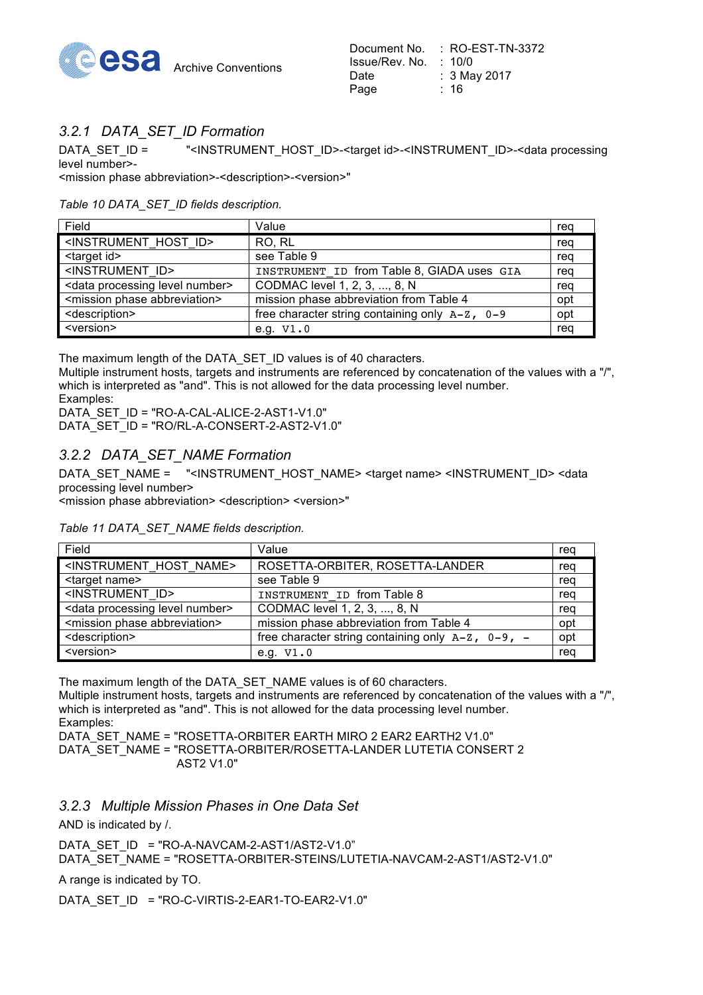

| Document No.   | $: RO-EST-TN-3372$ |
|----------------|--------------------|
| Issue/Rev. No. | : $10/0$           |
| Date           | : 3 May 2017       |
| Page           | : 16               |

### *3.2.1 DATA\_SET\_ID Formation*

DATA\_SET\_ID = "<INSTRUMENT\_HOST\_ID>-<target id>-<INSTRUMENT\_ID>-<data processing level number>- <mission phase abbreviation>-<description>-<version>"

*Table 10 DATA\_SET\_ID fields description.*

| Field                                          | Value                                               | reg |
|------------------------------------------------|-----------------------------------------------------|-----|
| <instrument_host_id></instrument_host_id>      | RO, RL                                              | reg |
| <target id=""></target>                        | see Table 9                                         | rea |
| <instrument id=""></instrument>                | INSTRUMENT ID from Table 8, GIADA uses GIA          | rea |
| <data level="" number="" processing=""></data> | CODMAC level 1, 2, 3, , 8, N                        | rea |
| <mission abbreviation="" phase=""></mission>   | mission phase abbreviation from Table 4             | opt |
| <description></description>                    | free character string containing only $A-Z$ , $0-9$ | opt |
| <version></version>                            | e.g. $V1.0$                                         | rea |

The maximum length of the DATA\_SET\_ID values is of 40 characters.

Multiple instrument hosts, targets and instruments are referenced by concatenation of the values with a "/", which is interpreted as "and". This is not allowed for the data processing level number. Examples:

DATA\_SET\_ID = "RO-A-CAL-ALICE-2-AST1-V1.0" DATA\_SET\_ID = "RO/RL-A-CONSERT-2-AST2-V1.0"

### *3.2.2 DATA\_SET\_NAME Formation*

DATA\_SET\_NAME = "<INSTRUMENT\_HOST\_NAME> <target name> <INSTRUMENT\_ID> <data processing level number>

<mission phase abbreviation> <description> <version>"

| Field                                          | Value                                                   | req |
|------------------------------------------------|---------------------------------------------------------|-----|
| <instrument host="" name=""></instrument>      | ROSETTA-ORBITER, ROSETTA-LANDER                         | req |
| <target name=""></target>                      | see Table 9                                             | rea |
| <instrument id=""></instrument>                | INSTRUMENT ID from Table 8                              | rea |
| <data level="" number="" processing=""></data> | CODMAC level 1, 2, 3, , 8, N                            | reg |
| <mission abbreviation="" phase=""></mission>   | mission phase abbreviation from Table 4                 | opt |
| <description></description>                    | free character string containing only $A-Z$ , $0-9$ , - | opt |
| <version></version>                            | e.g. $V1.0$                                             | reg |

The maximum length of the DATA\_SET\_NAME values is of 60 characters.

Multiple instrument hosts, targets and instruments are referenced by concatenation of the values with a "/", which is interpreted as "and". This is not allowed for the data processing level number. Examples:

DATA\_SET\_NAME = "ROSETTA-ORBITER EARTH MIRO 2 EAR2 EARTH2 V1.0" DATA\_SET\_NAME = "ROSETTA-ORBITER/ROSETTA-LANDER LUTETIA CONSERT 2 AST2 V1.0"

#### *3.2.3 Multiple Mission Phases in One Data Set*

AND is indicated by /.

DATA SET ID = "RO-A-NAVCAM-2-AST1/AST2-V1.0" DATA\_SET\_NAME = "ROSETTA-ORBITER-STEINS/LUTETIA-NAVCAM-2-AST1/AST2-V1.0"

A range is indicated by TO.

DATA\_SET\_ID = "RO-C-VIRTIS-2-EAR1-TO-EAR2-V1.0"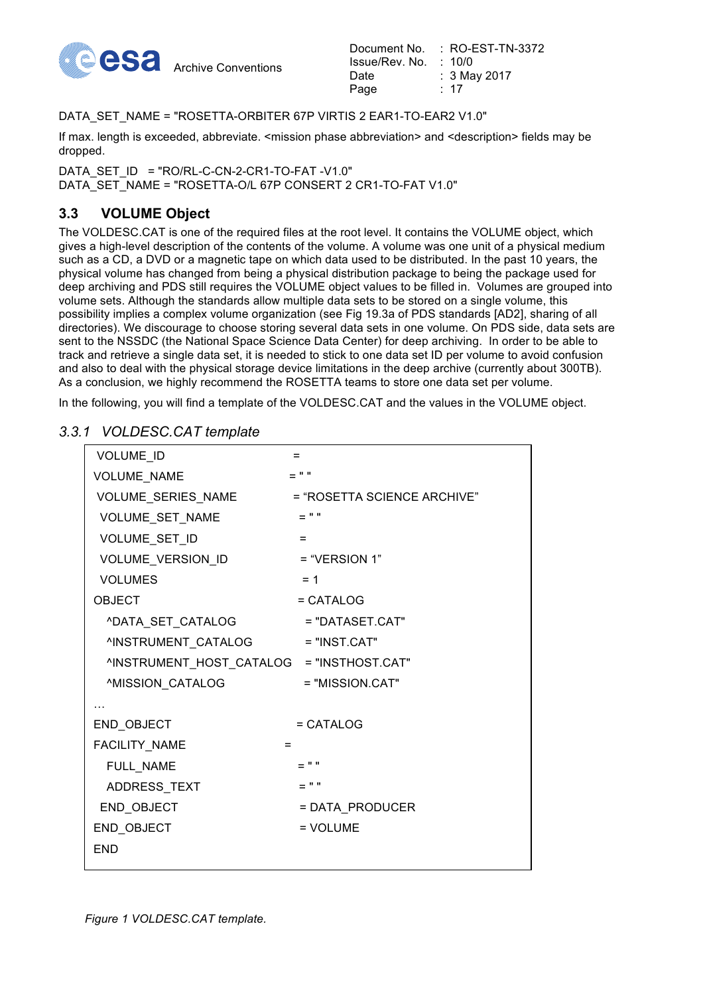

| Document No.   | $:$ RO-EST-TN-3372 |
|----------------|--------------------|
| Issue/Rev. No. | : $10/0$           |
| Date           | : 3 May 2017       |
| Page           | : 17               |

#### DATA\_SET\_NAME = "ROSETTA-ORBITER 67P VIRTIS 2 EAR1-TO-EAR2 V1.0"

If max. length is exceeded, abbreviate. <mission phase abbreviation> and <description> fields may be dropped.

DATA SET ID = "RO/RL-C-CN-2-CR1-TO-FAT -V1.0" DATA\_SET\_NAME = "ROSETTA-O/L 67P CONSERT 2 CR1-TO-FAT V1.0"

### **3.3 VOLUME Object**

The VOLDESC.CAT is one of the required files at the root level. It contains the VOLUME object, which gives a high-level description of the contents of the volume. A volume was one unit of a physical medium such as a CD, a DVD or a magnetic tape on which data used to be distributed. In the past 10 years, the physical volume has changed from being a physical distribution package to being the package used for deep archiving and PDS still requires the VOLUME object values to be filled in. Volumes are grouped into volume sets. Although the standards allow multiple data sets to be stored on a single volume, this possibility implies a complex volume organization (see Fig 19.3a of PDS standards [AD2], sharing of all directories). We discourage to choose storing several data sets in one volume. On PDS side, data sets are sent to the NSSDC (the National Space Science Data Center) for deep archiving. In order to be able to track and retrieve a single data set, it is needed to stick to one data set ID per volume to avoid confusion and also to deal with the physical storage device limitations in the deep archive (currently about 300TB). As a conclusion, we highly recommend the ROSETTA teams to store one data set per volume.

In the following, you will find a template of the VOLDESC.CAT and the values in the VOLUME object.

#### *3.3.1 VOLDESC.CAT template*

| VOLUME_ID                                 | =                           |
|-------------------------------------------|-----------------------------|
| VOLUME_NAME                               | = " "                       |
| VOLUME_SERIES_NAME                        | = "ROSETTA SCIENCE ARCHIVE" |
| VOLUME_SET_NAME                           | $=$ " "                     |
| VOLUME_SET_ID                             | =                           |
| VOLUME_VERSION_ID                         | $=$ "VERSION 1"             |
| <b>VOLUMES</b>                            | $= 1$                       |
| <b>OBJECT</b>                             | $=$ CATALOG                 |
| ^DATA_SET_CATALOG                         | $=$ "DATASET.CAT"           |
| ^INSTRUMENT_CATALOG                       | = "INST.CAT"                |
| ^INSTRUMENT_HOST_CATALOG = "INSTHOST.CAT" |                             |
| ^MISSION_CATALOG                          | $=$ "MISSION.CAT"           |
|                                           |                             |
| END_OBJECT                                | $=$ CATALOG                 |
| FACILITY_NAME<br>$=$                      |                             |
| FULL_NAME                                 | = " "                       |
| ADDRESS_TEXT                              | $=$ " "                     |
| END_OBJECT                                | = DATA PRODUCER             |
| END_OBJECT                                | $=$ VOLUME                  |
| END                                       |                             |
|                                           |                             |

*Figure 1 VOLDESC.CAT template.*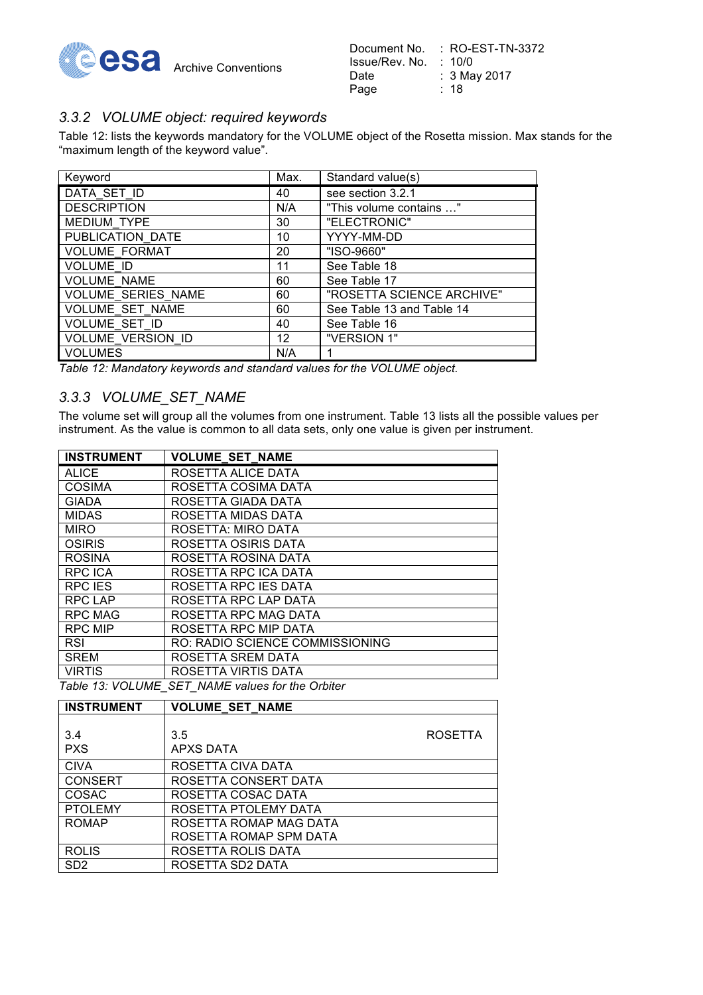

| Document No.   | $:$ RO-EST-TN-3372 |
|----------------|--------------------|
| Issue/Rev. No. | : $10/0$           |
| Date           | : 3 May 2017       |
| Page           | : 18               |

### *3.3.2 VOLUME object: required keywords*

Table 12: lists the keywords mandatory for the VOLUME object of the Rosetta mission. Max stands for the "maximum length of the keyword value".

| Keyword              | Max.              | Standard value(s)         |
|----------------------|-------------------|---------------------------|
| DATA SET ID          | 40                | see section 3.2.1         |
| <b>DESCRIPTION</b>   | N/A               | "This volume contains "   |
| MEDIUM TYPE          | 30                | "ELECTRONIC"              |
| PUBLICATION DATE     | 10                | YYYY-MM-DD                |
| <b>VOLUME FORMAT</b> | 20                | "ISO-9660"                |
| <b>VOLUME ID</b>     | 11                | See Table 18              |
| <b>VOLUME NAME</b>   | 60                | See Table 17              |
| VOLUME SERIES NAME   | 60                | "ROSETTA SCIENCE ARCHIVE" |
| VOLUME_SET_NAME      | 60                | See Table 13 and Table 14 |
| VOLUME_SET_ID        | 40                | See Table 16              |
| VOLUME VERSION ID    | $12 \overline{ }$ | "VERSION 1"               |
| <b>VOLUMES</b>       | N/A               | 1                         |

*Table 12: Mandatory keywords and standard values for the VOLUME object.*

# *3.3.3 VOLUME\_SET\_NAME*

The volume set will group all the volumes from one instrument. Table 13 lists all the possible values per instrument. As the value is common to all data sets, only one value is given per instrument.

| <b>INSTRUMENT</b>                                | VOLUME_SET_NAME                        |  |  |
|--------------------------------------------------|----------------------------------------|--|--|
| <b>ALICE</b>                                     | ROSETTA ALICE DATA                     |  |  |
| <b>COSIMA</b>                                    | ROSETTA COSIMA DATA                    |  |  |
| <b>GIADA</b>                                     | ROSETTA GIADA DATA                     |  |  |
| <b>MIDAS</b>                                     | ROSETTA MIDAS DATA                     |  |  |
| <b>MIRO</b>                                      | ROSETTA: MIRO DATA                     |  |  |
| <b>OSIRIS</b>                                    | ROSETTA OSIRIS DATA                    |  |  |
| <b>ROSINA</b>                                    | ROSETTA ROSINA DATA                    |  |  |
| RPC ICA                                          | ROSETTA RPC ICA DATA                   |  |  |
| RPC IES                                          | ROSETTA RPC IES DATA                   |  |  |
| RPC LAP                                          | ROSETTA RPC LAP DATA                   |  |  |
| <b>RPC MAG</b>                                   | ROSETTA RPC MAG DATA                   |  |  |
| <b>RPC MIP</b>                                   | ROSETTA RPC MIP DATA                   |  |  |
| <b>RSI</b>                                       | <b>RO: RADIO SCIENCE COMMISSIONING</b> |  |  |
| <b>SREM</b>                                      | ROSETTA SREM DATA                      |  |  |
| <b>VIRTIS</b>                                    | ROSETTA VIRTIS DATA                    |  |  |
| Table 13: VOLUME SET NAME values for the Orbiter |                                        |  |  |

| <b>INSTRUMENT</b> | <b>VOLUME SET NAME</b> |                |
|-------------------|------------------------|----------------|
| 3.4               | 3.5                    | <b>ROSETTA</b> |
| <b>PXS</b>        | APXS DATA              |                |
| <b>CIVA</b>       | ROSETTA CIVA DATA      |                |
| <b>CONSERT</b>    | ROSETTA CONSERT DATA   |                |
| COSAC             | ROSETTA COSAC DATA     |                |
| <b>PTOLEMY</b>    | ROSETTA PTOLEMY DATA   |                |
| <b>ROMAP</b>      | ROSETTA ROMAP MAG DATA |                |
|                   | ROSETTA ROMAP SPM DATA |                |
| <b>ROLIS</b>      | ROSETTA ROLIS DATA     |                |
| SD <sub>2</sub>   | ROSETTA SD2 DATA       |                |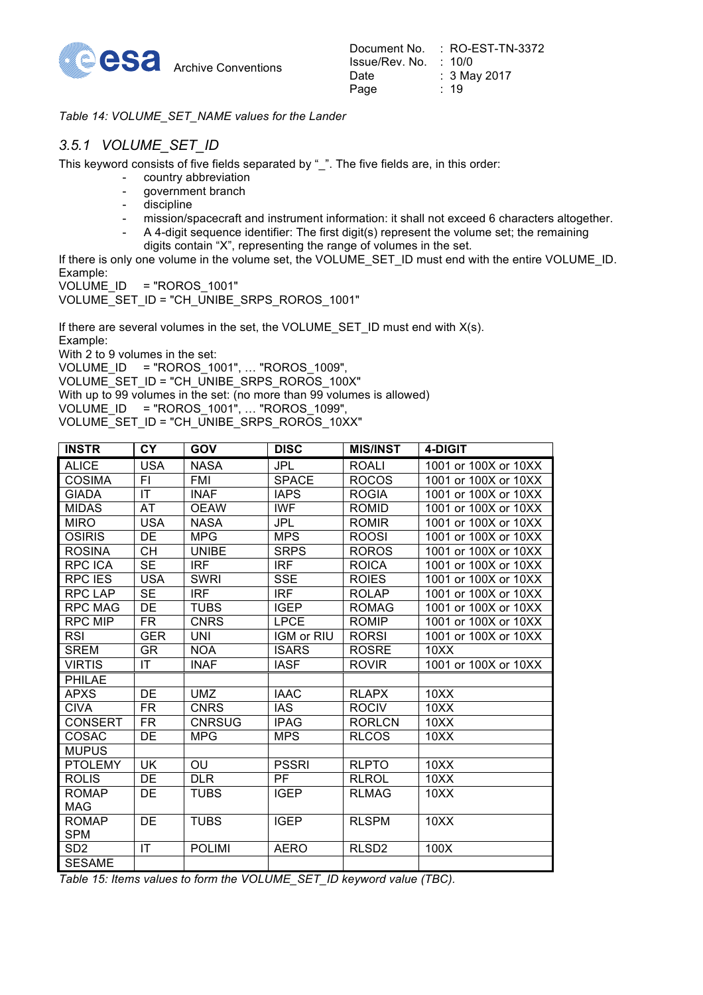

*Table 14: VOLUME\_SET\_NAME values for the Lander*

### *3.5.1 VOLUME\_SET\_ID*

This keyword consists of five fields separated by "\_". The five fields are, in this order:

- country abbreviation
- government branch
- discipline
- mission/spacecraft and instrument information: it shall not exceed 6 characters altogether.
- A 4-digit sequence identifier: The first digit(s) represent the volume set; the remaining digits contain "X", representing the range of volumes in the set.

If there is only one volume in the volume set, the VOLUME\_SET\_ID must end with the entire VOLUME\_ID. Example:

VOLUME\_ID = "ROROS\_1001"

VOLUME\_SET\_ID = "CH\_UNIBE\_SRPS\_ROROS\_1001"

If there are several volumes in the set, the VOLUME\_SET\_ID must end with  $X(s)$ . Example:

With 2 to 9 volumes in the set:

VOLUME\_ID = "ROROS\_1001", … "ROROS\_1009", VOLUME\_SET\_ID = "CH\_UNIBE\_SRPS\_ROROS\_100X" With up to 99 volumes in the set: (no more than 99 volumes is allowed)

VOLUME\_ID = "ROROS\_1001", … "ROROS\_1099", VOLUME\_SET\_ID = "CH\_UNIBE\_SRPS\_ROROS\_10XX"

| <b>INSTR</b>    | <b>CY</b>              | <b>GOV</b>    | <b>DISC</b>  | <b>MIS/INST</b>   | 4-DIGIT              |
|-----------------|------------------------|---------------|--------------|-------------------|----------------------|
| <b>ALICE</b>    | <b>USA</b>             | <b>NASA</b>   | JPL          | <b>ROALI</b>      | 1001 or 100X or 10XX |
| <b>COSIMA</b>   | FΙ                     | <b>FMI</b>    | <b>SPACE</b> | <b>ROCOS</b>      | 1001 or 100X or 10XX |
| <b>GIADA</b>    | $\mathsf{I}\mathsf{T}$ | <b>INAF</b>   | <b>IAPS</b>  | <b>ROGIA</b>      | 1001 or 100X or 10XX |
| <b>MIDAS</b>    | AT                     | <b>OEAW</b>   | <b>IWF</b>   | <b>ROMID</b>      | 1001 or 100X or 10XX |
| <b>MIRO</b>     | <b>USA</b>             | <b>NASA</b>   | JPL          | <b>ROMIR</b>      | 1001 or 100X or 10XX |
| <b>OSIRIS</b>   | DE                     | <b>MPG</b>    | <b>MPS</b>   | <b>ROOSI</b>      | 1001 or 100X or 10XX |
| <b>ROSINA</b>   | <b>CH</b>              | <b>UNIBE</b>  | <b>SRPS</b>  | <b>ROROS</b>      | 1001 or 100X or 10XX |
| <b>RPC ICA</b>  | SE                     | <b>IRF</b>    | <b>IRF</b>   | <b>ROICA</b>      | 1001 or 100X or 10XX |
| <b>RPC IES</b>  | <b>USA</b>             | <b>SWRI</b>   | <b>SSE</b>   | <b>ROIES</b>      | 1001 or 100X or 10XX |
| <b>RPC LAP</b>  | <b>SE</b>              | <b>IRF</b>    | <b>IRF</b>   | <b>ROLAP</b>      | 1001 or 100X or 10XX |
| <b>RPC MAG</b>  | DE                     | <b>TUBS</b>   | <b>IGEP</b>  | <b>ROMAG</b>      | 1001 or 100X or 10XX |
| <b>RPC MIP</b>  | <b>FR</b>              | <b>CNRS</b>   | <b>LPCE</b>  | <b>ROMIP</b>      | 1001 or 100X or 10XX |
| <b>RSI</b>      | <b>GER</b>             | <b>UNI</b>    | IGM or RIU   | RORSI             | 1001 or 100X or 10XX |
| <b>SREM</b>     | <b>GR</b>              | <b>NOA</b>    | <b>ISARS</b> | <b>ROSRE</b>      | 10XX                 |
| <b>VIRTIS</b>   | IT                     | <b>INAF</b>   | <b>IASF</b>  | <b>ROVIR</b>      | 1001 or 100X or 10XX |
| <b>PHILAE</b>   |                        |               |              |                   |                      |
| <b>APXS</b>     | <b>DE</b>              | <b>UMZ</b>    | <b>IAAC</b>  | <b>RLAPX</b>      | 10XX                 |
| <b>CIVA</b>     | <b>FR</b>              | <b>CNRS</b>   | IAS.         | <b>ROCIV</b>      | 10XX                 |
| <b>CONSERT</b>  | <b>FR</b>              | <b>CNRSUG</b> | <b>IPAG</b>  | <b>RORLCN</b>     | 10XX                 |
| COSAC           | DE                     | <b>MPG</b>    | <b>MPS</b>   | <b>RLCOS</b>      | 10XX                 |
| <b>MUPUS</b>    |                        |               |              |                   |                      |
| <b>PTOLEMY</b>  | <b>UK</b>              | OU            | <b>PSSRI</b> | <b>RLPTO</b>      | 10XX                 |
| <b>ROLIS</b>    | <b>DE</b>              | <b>DLR</b>    | PF           | <b>RLROL</b>      | 10XX                 |
| <b>ROMAP</b>    | DE                     | <b>TUBS</b>   | <b>IGEP</b>  | <b>RLMAG</b>      | 10XX                 |
| <b>MAG</b>      |                        |               |              |                   |                      |
| <b>ROMAP</b>    | DE                     | <b>TUBS</b>   | <b>IGEP</b>  | <b>RLSPM</b>      | 10XX                 |
| <b>SPM</b>      |                        |               |              |                   |                      |
| SD <sub>2</sub> | IT                     | <b>POLIMI</b> | <b>AERO</b>  | RLSD <sub>2</sub> | 100X                 |
| <b>SESAME</b>   |                        |               |              |                   |                      |

*Table 15: Items values to form the VOLUME\_SET\_ID keyword value (TBC).*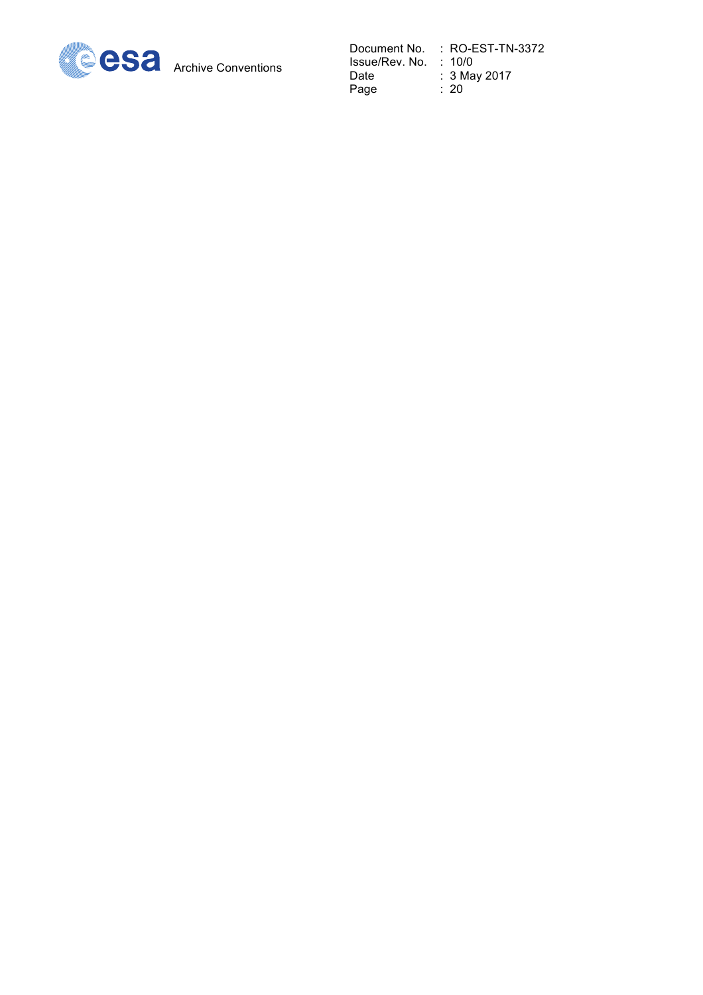

Document No. : RO-EST-TN-3372 Issue/Rev. No. : 10 / 0 Date Page : 3 May 201 7 : 20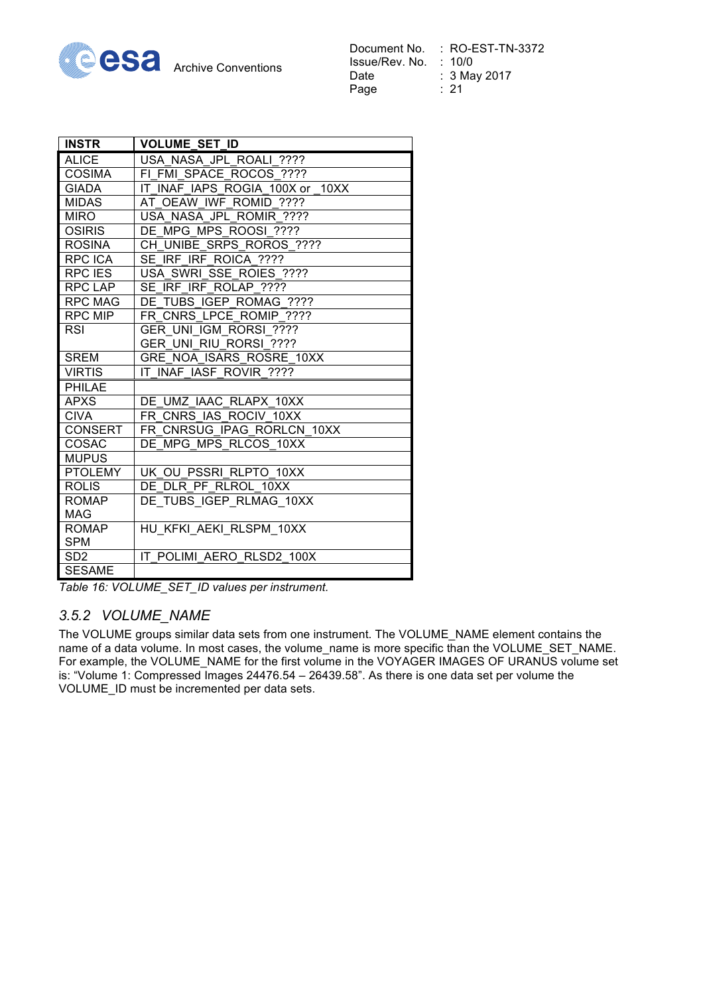

Document No. : RO-EST-TN-3372 : 3 May 2017  $\therefore$  21

| <b>INSTR</b>    | <b>VOLUME SET ID</b>            |
|-----------------|---------------------------------|
| <b>ALICE</b>    | USA NASA JPL ROALI ????         |
| <b>COSIMA</b>   | FI FMI SPACE ROCOS ????         |
| <b>GIADA</b>    | IT INAF IAPS ROGIA 100X or 10XX |
| <b>MIDAS</b>    | AT OEAW IWF ROMID ????          |
| <b>MIRO</b>     | USA NASA JPL ROMIR ????         |
| <b>OSIRIS</b>   | DE MPG MPS ROOSI ????           |
| <b>ROSINA</b>   | CH UNIBE SRPS ROROS ????        |
| <b>RPC ICA</b>  | SE IRF IRF ROICA ????           |
| <b>RPC IES</b>  | USA SWRI SSE ROIES ????         |
| <b>RPC LAP</b>  | SE IRF IRF ROLAP ????           |
| <b>RPC MAG</b>  | DE TUBS IGEP ROMAG ????         |
| <b>RPC MIP</b>  | FR CNRS LPCE ROMIP ????         |
| RSI             | GER UNI IGM RORSI ????          |
|                 | GER UNI RIU RORSI ????          |
| <b>SREM</b>     | GRE NOA ISARS ROSRE 10XX        |
| <b>VIRTIS</b>   | IT INAF IASF ROVIR ????         |
| PHILAE          |                                 |
| <b>APXS</b>     | DE UMZ IAAC RLAPX 10XX          |
| <b>CIVA</b>     | FR CNRS IAS ROCIV 10XX          |
| <b>CONSERT</b>  | FR CNRSUG IPAG RORLCN 10XX      |
| COSAC           | DE MPG MPS RLCOS 10XX           |
| <b>MUPUS</b>    |                                 |
| <b>PTOLEMY</b>  | UK OU PSSRI RLPTO 10XX          |
| <b>ROLIS</b>    | DE DLR PF RLROL 10XX            |
| <b>ROMAP</b>    | DE TUBS IGEP RLMAG 10XX         |
| MAG             |                                 |
| <b>ROMAP</b>    | HU KFKI AEKI RLSPM 10XX         |
| <b>SPM</b>      |                                 |
| SD <sub>2</sub> | IT POLIMI AERO RLSD2 100X       |
| <b>SESAME</b>   |                                 |

*Table 16: VOLUME\_SET\_ID values per instrument.*

### *3.5.2 VOLUME\_NAME*

The VOLUME groups similar data sets from one instrument. The VOLUME\_NAME element contains the name of a data volume. In most cases, the volume\_name is more specific than the VOLUME\_SET\_NAME. For example, the VOLUME\_NAME for the first volume in the VOYAGER IMAGES OF URANUS volume set is: "Volume 1: Compressed Images 24476.54 – 26439.58". As there is one data set per volume the VOLUME\_ID must be incremented per data sets.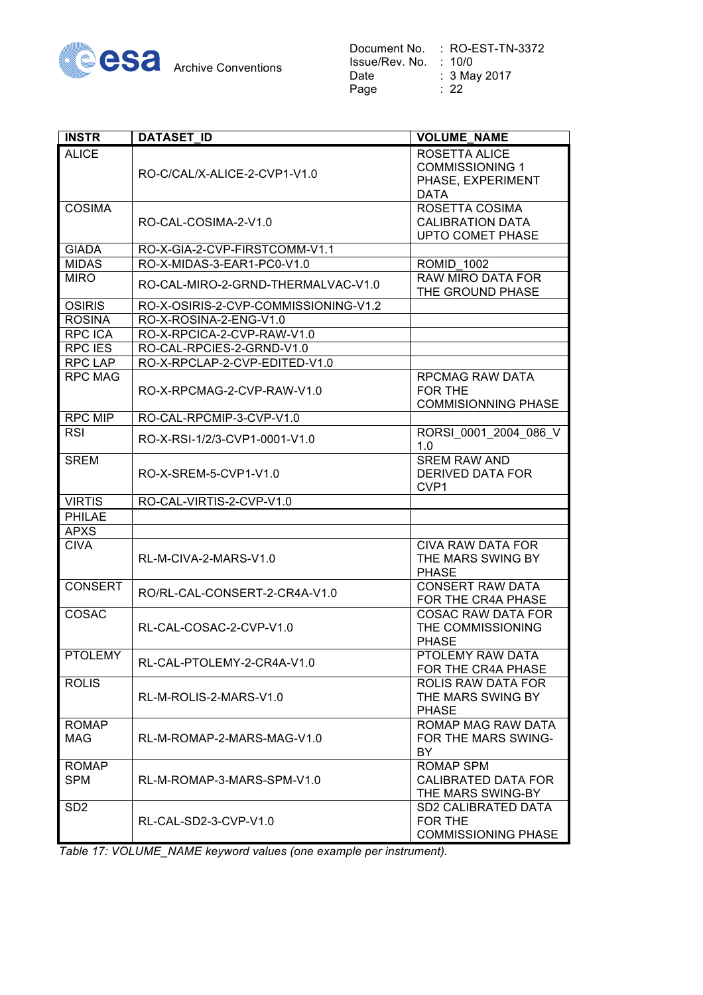

| <b>INSTR</b>               | <b>DATASET ID</b>                    | <b>VOLUME NAME</b>                                                          |
|----------------------------|--------------------------------------|-----------------------------------------------------------------------------|
| <b>ALICE</b>               | RO-C/CAL/X-ALICE-2-CVP1-V1.0         | ROSETTA ALICE<br><b>COMMISSIONING 1</b><br>PHASE, EXPERIMENT<br><b>DATA</b> |
| <b>COSIMA</b>              | RO-CAL-COSIMA-2-V1.0                 | ROSETTA COSIMA<br><b>CALIBRATION DATA</b><br><b>UPTO COMET PHASE</b>        |
| <b>GIADA</b>               | RO-X-GIA-2-CVP-FIRSTCOMM-V1.1        |                                                                             |
| <b>MIDAS</b>               | RO-X-MIDAS-3-EAR1-PC0-V1.0           | <b>ROMID 1002</b>                                                           |
| <b>MIRO</b>                | RO-CAL-MIRO-2-GRND-THERMALVAC-V1.0   | <b>RAW MIRO DATA FOR</b><br>THE GROUND PHASE                                |
| <b>OSIRIS</b>              | RO-X-OSIRIS-2-CVP-COMMISSIONING-V1.2 |                                                                             |
| <b>ROSINA</b>              | RO-X-ROSINA-2-ENG-V1.0               |                                                                             |
| <b>RPC ICA</b>             | RO-X-RPCICA-2-CVP-RAW-V1.0           |                                                                             |
| <b>RPC IES</b>             | RO-CAL-RPCIES-2-GRND-V1.0            |                                                                             |
| <b>RPC LAP</b>             | RO-X-RPCLAP-2-CVP-EDITED-V1.0        |                                                                             |
| <b>RPC MAG</b>             | RO-X-RPCMAG-2-CVP-RAW-V1.0           | <b>RPCMAG RAW DATA</b><br><b>FOR THE</b><br><b>COMMISIONNING PHASE</b>      |
| <b>RPC MIP</b>             | RO-CAL-RPCMIP-3-CVP-V1.0             |                                                                             |
| <b>RSI</b>                 | RO-X-RSI-1/2/3-CVP1-0001-V1.0        | RORSI 0001 2004 086 V<br>1.0                                                |
| <b>SREM</b>                | RO-X-SREM-5-CVP1-V1.0                | <b>SREM RAW AND</b><br><b>DERIVED DATA FOR</b><br>CVP <sub>1</sub>          |
| <b>VIRTIS</b>              | RO-CAL-VIRTIS-2-CVP-V1.0             |                                                                             |
| PHILAE                     |                                      |                                                                             |
| <b>APXS</b>                |                                      |                                                                             |
| <b>CIVA</b>                | RL-M-CIVA-2-MARS-V1.0                | <b>CIVA RAW DATA FOR</b><br>THE MARS SWING BY<br><b>PHASE</b>               |
| <b>CONSERT</b>             | RO/RL-CAL-CONSERT-2-CR4A-V1.0        | <b>CONSERT RAW DATA</b><br>FOR THE CR4A PHASE                               |
| COSAC                      | RL-CAL-COSAC-2-CVP-V1.0              | <b>COSAC RAW DATA FOR</b><br>THE COMMISSIONING<br><b>PHASE</b>              |
| <b>PTOLEMY</b>             | RL-CAL-PTOLEMY-2-CR4A-V1.0           | PTOLEMY RAW DATA<br>FOR THE CR4A PHASE                                      |
| <b>ROLIS</b>               | RL-M-ROLIS-2-MARS-V1.0               | <b>ROLIS RAW DATA FOR</b><br>THE MARS SWING BY<br><b>PHASE</b>              |
| <b>ROMAP</b><br>MAG        | RL-M-ROMAP-2-MARS-MAG-V1.0           | ROMAP MAG RAW DATA<br>FOR THE MARS SWING-<br>BY                             |
| <b>ROMAP</b><br><b>SPM</b> | RL-M-ROMAP-3-MARS-SPM-V1.0           | <b>ROMAP SPM</b><br><b>CALIBRATED DATA FOR</b><br>THE MARS SWING-BY         |
| SD <sub>2</sub>            | RL-CAL-SD2-3-CVP-V1.0                | <b>SD2 CALIBRATED DATA</b><br>FOR THE<br><b>COMMISSIONING PHASE</b>         |

*Table 17: VOLUME\_NAME keyword values (one example per instrument).*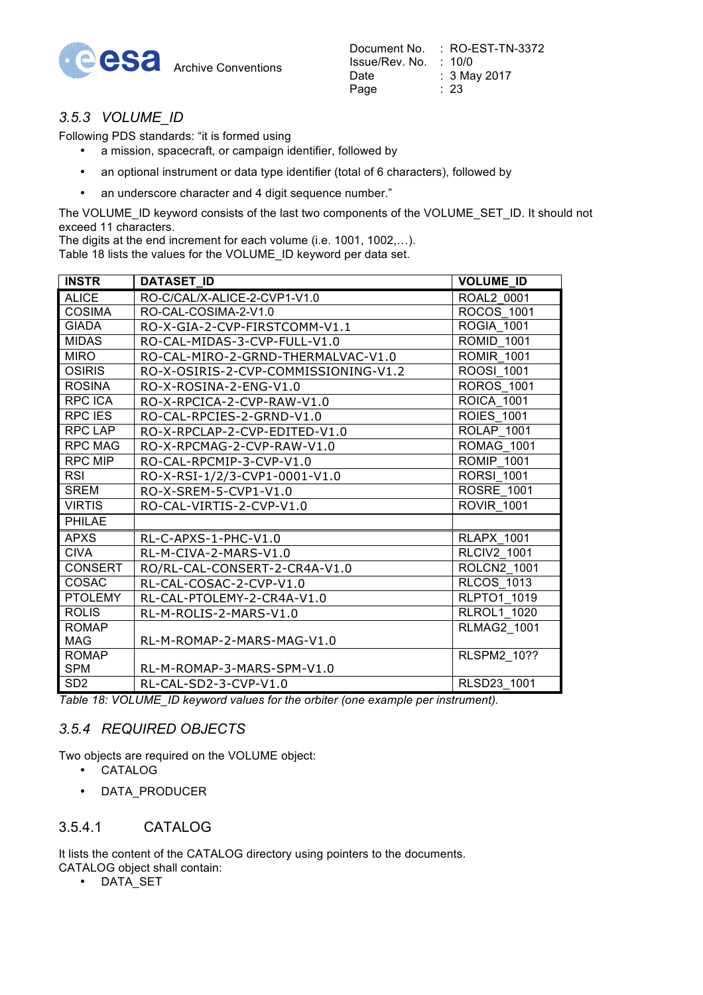

# *3.5.3 VOLUME\_ID*

Following PDS standards: "it is formed using

- a mission, spacecraft, or campaign identifier, followed by
- an optional instrument or data type identifier (total of 6 characters), followed by
- an underscore character and 4 digit sequence number."

The VOLUME\_ID keyword consists of the last two components of the VOLUME\_SET\_ID. It should not exceed 11 characters.

The digits at the end increment for each volume (i.e. 1001, 1002,…). Table 18 lists the values for the VOLUME\_ID keyword per data set.

| <b>INSTR</b>    | <b>DATASET ID</b>                    | <b>VOLUME ID</b>   |
|-----------------|--------------------------------------|--------------------|
| <b>ALICE</b>    | RO-C/CAL/X-ALICE-2-CVP1-V1.0         | ROAL2 0001         |
| <b>COSIMA</b>   | RO-CAL-COSIMA-2-V1.0                 | ROCOS 1001         |
| <b>GIADA</b>    | RO-X-GIA-2-CVP-FIRSTCOMM-V1.1        | <b>ROGIA 1001</b>  |
| <b>MIDAS</b>    | RO-CAL-MIDAS-3-CVP-FULL-V1.0         | <b>ROMID 1001</b>  |
| <b>MIRO</b>     | RO-CAL-MIRO-2-GRND-THERMALVAC-V1.0   | <b>ROMIR 1001</b>  |
| <b>OSIRIS</b>   | RO-X-OSIRIS-2-CVP-COMMISSIONING-V1.2 | <b>ROOSI 1001</b>  |
| <b>ROSINA</b>   | RO-X-ROSINA-2-ENG-V1.0               | ROROS_1001         |
| <b>RPC ICA</b>  | RO-X-RPCICA-2-CVP-RAW-V1.0           | <b>ROICA 1001</b>  |
| RPC IES         | RO-CAL-RPCIES-2-GRND-V1.0            | <b>ROIES 1001</b>  |
| <b>RPC LAP</b>  | RO-X-RPCLAP-2-CVP-EDITED-V1.0        | ROLAP 1001         |
| <b>RPC MAG</b>  | RO-X-RPCMAG-2-CVP-RAW-V1.0           | <b>ROMAG 1001</b>  |
| <b>RPC MIP</b>  | RO-CAL-RPCMIP-3-CVP-V1.0             | <b>ROMIP 1001</b>  |
| <b>RSI</b>      | RO-X-RSI-1/2/3-CVP1-0001-V1.0        | <b>RORSI 1001</b>  |
| <b>SREM</b>     | RO-X-SREM-5-CVP1-V1.0                | <b>ROSRE 1001</b>  |
| <b>VIRTIS</b>   | RO-CAL-VIRTIS-2-CVP-V1.0             | <b>ROVIR 1001</b>  |
| <b>PHILAE</b>   |                                      |                    |
| <b>APXS</b>     | RL-C-APXS-1-PHC-V1.0                 | <b>RLAPX 1001</b>  |
| <b>CIVA</b>     | RL-M-CIVA-2-MARS-V1.0                | <b>RLCIV2 1001</b> |
| <b>CONSERT</b>  | RO/RL-CAL-CONSERT-2-CR4A-V1.0        | ROLCN2 1001        |
| COSAC           | RL-CAL-COSAC-2-CVP-V1.0              | <b>RLCOS 1013</b>  |
| <b>PTOLEMY</b>  | RL-CAL-PTOLEMY-2-CR4A-V1.0           | RLPTO1_1019        |
| <b>ROLIS</b>    | RL-M-ROLIS-2-MARS-V1.0               | RLROL1_1020        |
| <b>ROMAP</b>    |                                      | <b>RLMAG2 1001</b> |
| <b>MAG</b>      | RL-M-ROMAP-2-MARS-MAG-V1.0           |                    |
| <b>ROMAP</b>    |                                      | RLSPM2 10??        |
| <b>SPM</b>      | RL-M-ROMAP-3-MARS-SPM-V1.0           |                    |
| SD <sub>2</sub> | RL-CAL-SD2-3-CVP-V1.0                | RLSD23 1001        |

*Table 18: VOLUME\_ID keyword values for the orbiter (one example per instrument).*

# *3.5.4 REQUIRED OBJECTS*

Two objects are required on the VOLUME object:

- CATALOG
- DATA\_PRODUCER

### 3.5.4.1 CATALOG

It lists the content of the CATALOG directory using pointers to the documents.

- CATALOG object shall contain:
	- DATA\_SET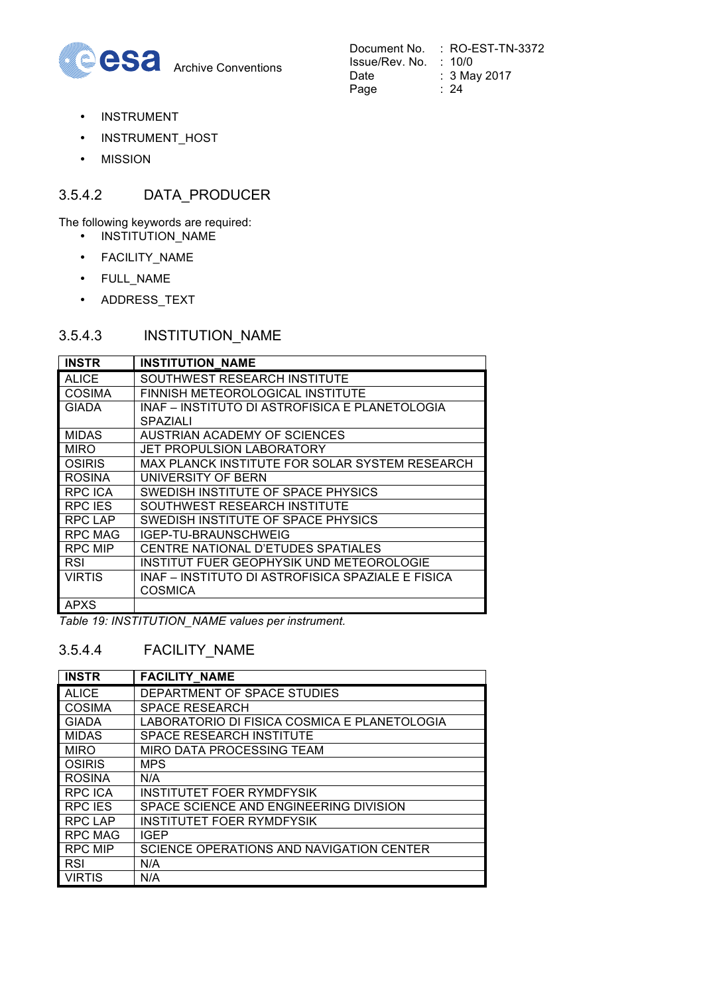

- INSTRUMENT
- INSTRUMENT\_HOST
- MISSION

# 3.5.4.2 DATA\_PRODUCER

The following keywords are required:

- INSTITUTION\_NAME
- FACILITY\_NAME
- FULL\_NAME
- ADDRESS\_TEXT

### 3.5.4.3 INSTITUTION\_NAME

| <b>INSTR</b>   | <b>INSTITUTION NAME</b>                                |
|----------------|--------------------------------------------------------|
| <b>ALICE</b>   | SOUTHWEST RESEARCH INSTITUTE                           |
| COSIMA         | FINNISH METEOROLOGICAL INSTITUTE                       |
| <b>GIADA</b>   | <u> INAF – INSTITUTO DI ASTROFISICA E PLANETOLOGIA</u> |
|                | SPAZIALI                                               |
| <b>MIDAS</b>   | AUSTRIAN ACADEMY OF SCIENCES                           |
| <b>MIRO</b>    | JET PROPULSION LABORATORY                              |
| OSIRIS         | MAX PLANCK INSTITUTE FOR SOLAR SYSTEM RESEARCH         |
| <b>ROSINA</b>  | UNIVERSITY OF BERN                                     |
| <b>RPC ICA</b> | SWEDISH INSTITUTE OF SPACE PHYSICS                     |
| <b>RPC IES</b> | SOUTHWEST RESEARCH INSTITUTE                           |
| RPC LAP        | SWEDISH INSTITUTE OF SPACE PHYSICS                     |
| RPC MAG        | IGEP-TU-BRAUNSCHWEIG                                   |
| <b>RPC MIP</b> | CENTRE NATIONAL D'ETUDES SPATIALES                     |
| <b>RSI</b>     | INSTITUT FUER GEOPHYSIK UND METEOROLOGIE               |
| <b>VIRTIS</b>  | INAF – INSTITUTO DI ASTROFISICA SPAZIALE E FISICA      |
|                | COSMICA                                                |
| <b>APXS</b>    |                                                        |

*Table 19: INSTITUTION\_NAME values per instrument.*

### 3.5.4.4 FACILITY\_NAME

| <b>INSTR</b>   | <b>FACILITY NAME</b>                         |
|----------------|----------------------------------------------|
| ALICE          | DEPARTMENT OF SPACE STUDIES                  |
| COSIMA         | <b>SPACE RESEARCH</b>                        |
| <b>GIADA</b>   | LABORATORIO DI FISICA COSMICA E PLANETOLOGIA |
| <b>MIDAS</b>   | <b>SPACE RESEARCH INSTITUTE</b>              |
| <b>MIRO</b>    | MIRO DATA PROCESSING TEAM                    |
| <b>OSIRIS</b>  | <b>MPS</b>                                   |
| <b>ROSINA</b>  | N/A                                          |
| <b>RPC ICA</b> | <b>INSTITUTET FOER RYMDFYSIK</b>             |
| <b>RPC IES</b> | SPACE SCIENCE AND ENGINEERING DIVISION       |
| <b>RPC LAP</b> | INSTITUTET FOER RYMDFYSIK                    |
| RPC MAG        | <b>IGEP</b>                                  |
| <b>RPC MIP</b> | SCIENCE OPERATIONS AND NAVIGATION CENTER     |
| <b>RSI</b>     | N/A                                          |
| <b>VIRTIS</b>  | N/A                                          |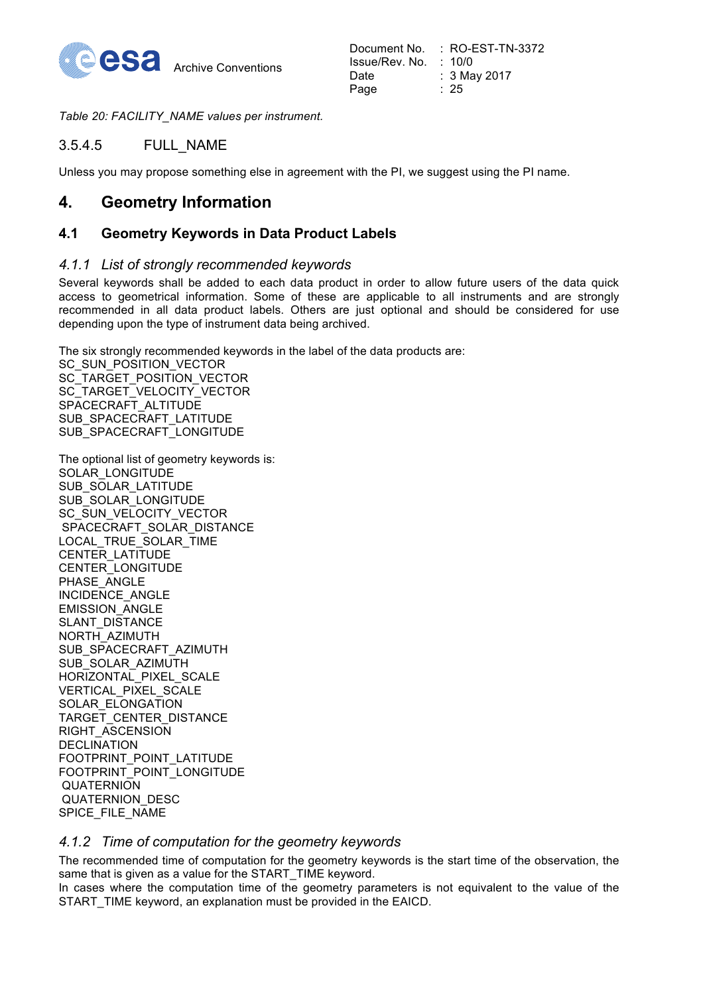

*Table 20: FACILITY\_NAME values per instrument.*

### 3.5.4.5 FULL\_NAME

Unless you may propose something else in agreement with the PI, we suggest using the PI name.

# **4. Geometry Information**

### **4.1 Geometry Keywords in Data Product Labels**

#### *4.1.1 List of strongly recommended keywords*

Several keywords shall be added to each data product in order to allow future users of the data quick access to geometrical information. Some of these are applicable to all instruments and are strongly recommended in all data product labels. Others are just optional and should be considered for use depending upon the type of instrument data being archived.

The six strongly recommended keywords in the label of the data products are:

SC\_SUN\_POSITION\_VECTOR SC\_TARGET\_POSITION\_VECTOR SC\_TARGET\_VELOCITY\_VECTOR SPACECRAFT\_ALTITUDE SUB\_SPACECRAFT\_LATITUDE SUB\_SPACECRAFT\_LONGITUDE

The optional list of geometry keywords is: SOLAR\_LONGITUDE SUB\_SOLAR\_LATITUDE SUB\_SOLAR\_LONGITUDE SC\_SUN\_VELOCITY\_VECTOR SPACECRAFT\_SOLAR\_DISTANCE LOCAL TRUE SOLAR TIME CENTER\_LATITUDE CENTER\_LONGITUDE PHASE\_ANGLE INCIDENCE\_ANGLE EMISSION\_ANGLE SLANT\_DISTANCE NORTH\_AZIMUTH SUB\_SPACECRAFT\_AZIMUTH SUB\_SOLAR\_AZIMUTH HORIZONTAL\_PIXEL\_SCALE VERTICAL\_PIXEL\_SCALE SOLAR\_ELONGATION TARGET\_CENTER\_DISTANCE RIGHT\_ASCENSION **DECLINATION** FOOTPRINT\_POINT\_LATITUDE FOOTPRINT\_POINT\_LONGITUDE QUATERNION QUATERNION\_DESC SPICE\_FILE\_NAME

#### *4.1.2 Time of computation for the geometry keywords*

The recommended time of computation for the geometry keywords is the start time of the observation, the same that is given as a value for the START\_TIME keyword.

In cases where the computation time of the geometry parameters is not equivalent to the value of the START TIME keyword, an explanation must be provided in the EAICD.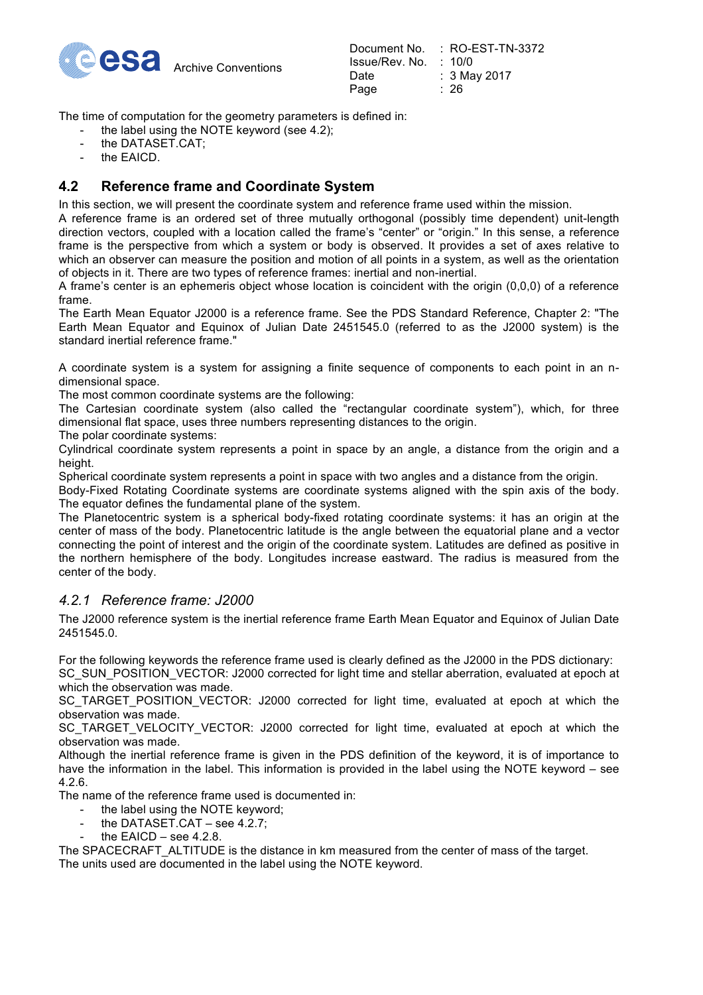

| Document No.   | $:$ RO-EST-TN-3372 |
|----------------|--------------------|
| Issue/Rev. No. | : $10/0$           |
| Date           | : 3 May 2017       |
| Page           | : 26               |

The time of computation for the geometry parameters is defined in:

- the label using the NOTE keyword (see 4.2);
- the DATASET.CAT;
- the EAICD.

### **4.2 Reference frame and Coordinate System**

In this section, we will present the coordinate system and reference frame used within the mission.

A reference frame is an ordered set of three mutually orthogonal (possibly time dependent) unit-length direction vectors, coupled with a location called the frame's "center" or "origin." In this sense, a reference frame is the perspective from which a system or body is observed. It provides a set of axes relative to which an observer can measure the position and motion of all points in a system, as well as the orientation of objects in it. There are two types of reference frames: inertial and non-inertial.

A frame's center is an ephemeris object whose location is coincident with the origin (0,0,0) of a reference frame.

The Earth Mean Equator J2000 is a reference frame. See the PDS Standard Reference, Chapter 2: "The Earth Mean Equator and Equinox of Julian Date 2451545.0 (referred to as the J2000 system) is the standard inertial reference frame."

A coordinate system is a system for assigning a finite sequence of components to each point in an ndimensional space.

The most common coordinate systems are the following:

The Cartesian coordinate system (also called the "rectangular coordinate system"), which, for three dimensional flat space, uses three numbers representing distances to the origin.

The polar coordinate systems:

Cylindrical coordinate system represents a point in space by an angle, a distance from the origin and a height.

Spherical coordinate system represents a point in space with two angles and a distance from the origin.

Body-Fixed Rotating Coordinate systems are coordinate systems aligned with the spin axis of the body. The equator defines the fundamental plane of the system.

The Planetocentric system is a spherical body-fixed rotating coordinate systems: it has an origin at the center of mass of the body. Planetocentric latitude is the angle between the equatorial plane and a vector connecting the point of interest and the origin of the coordinate system. Latitudes are defined as positive in the northern hemisphere of the body. Longitudes increase eastward. The radius is measured from the center of the body.

#### *4.2.1 Reference frame: J2000*

The J2000 reference system is the inertial reference frame Earth Mean Equator and Equinox of Julian Date 2451545.0.

For the following keywords the reference frame used is clearly defined as the J2000 in the PDS dictionary: SC\_SUN\_POSITION\_VECTOR: J2000 corrected for light time and stellar aberration, evaluated at epoch at which the observation was made.

SC\_TARGET\_POSITION\_VECTOR: J2000 corrected for light time, evaluated at epoch at which the observation was made.

SC\_TARGET\_VELOCITY\_VECTOR: J2000 corrected for light time, evaluated at epoch at which the observation was made.

Although the inertial reference frame is given in the PDS definition of the keyword, it is of importance to have the information in the label. This information is provided in the label using the NOTE keyword – see 4.2.6.

The name of the reference frame used is documented in:

- the label using the NOTE keyword;
- the DATASET.CAT see 4.2.7;
- the  $E AICD see 4.2.8$ .

The SPACECRAFT\_ALTITUDE is the distance in km measured from the center of mass of the target. The units used are documented in the label using the NOTE keyword.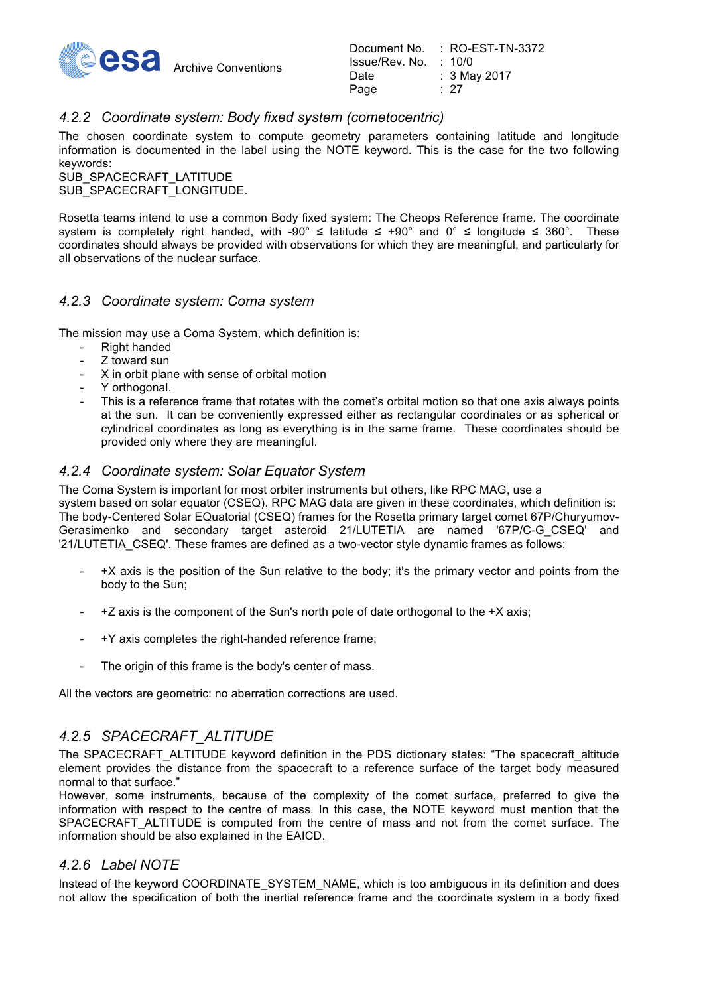

### *4.2.2 Coordinate system: Body fixed system (cometocentric)*

The chosen coordinate system to compute geometry parameters containing latitude and longitude information is documented in the label using the NOTE keyword. This is the case for the two following keywords:

SUB\_SPACECRAFT\_LATITUDE SUB\_SPACECRAFT\_LONGITUDE.

Rosetta teams intend to use a common Body fixed system: The Cheops Reference frame. The coordinate system is completely right handed, with -90°  $\leq$  latitude  $\leq$  +90° and 0°  $\leq$  longitude  $\leq$  360°. These coordinates should always be provided with observations for which they are meaningful, and particularly for all observations of the nuclear surface.

### *4.2.3 Coordinate system: Coma system*

The mission may use a Coma System, which definition is:

- Right handed
- Z toward sun
- X in orbit plane with sense of orbital motion
- Y orthogonal.
- This is a reference frame that rotates with the comet's orbital motion so that one axis always points at the sun. It can be conveniently expressed either as rectangular coordinates or as spherical or cylindrical coordinates as long as everything is in the same frame. These coordinates should be provided only where they are meaningful.

### *4.2.4 Coordinate system: Solar Equator System*

The Coma System is important for most orbiter instruments but others, like RPC MAG, use a system based on solar equator (CSEQ). RPC MAG data are given in these coordinates, which definition is: The body-Centered Solar EQuatorial (CSEQ) frames for the Rosetta primary target comet 67P/Churyumov-Gerasimenko and secondary target asteroid 21/LUTETIA are named '67P/C-G\_CSEQ' and '21/LUTETIA\_CSEQ'. These frames are defined as a two-vector style dynamic frames as follows:

- +X axis is the position of the Sun relative to the body; it's the primary vector and points from the body to the Sun;
- $-$  +Z axis is the component of the Sun's north pole of date orthogonal to the  $+X$  axis;
- +Y axis completes the right-handed reference frame;
- The origin of this frame is the body's center of mass.

All the vectors are geometric: no aberration corrections are used.

# *4.2.5 SPACECRAFT\_ALTITUDE*

The SPACECRAFT\_ALTITUDE keyword definition in the PDS dictionary states: "The spacecraft altitude element provides the distance from the spacecraft to a reference surface of the target body measured normal to that surface."

However, some instruments, because of the complexity of the comet surface, preferred to give the information with respect to the centre of mass. In this case, the NOTE keyword must mention that the SPACECRAFT\_ALTITUDE is computed from the centre of mass and not from the comet surface. The information should be also explained in the EAICD.

### *4.2.6 Label NOTE*

Instead of the keyword COORDINATE\_SYSTEM\_NAME, which is too ambiguous in its definition and does not allow the specification of both the inertial reference frame and the coordinate system in a body fixed